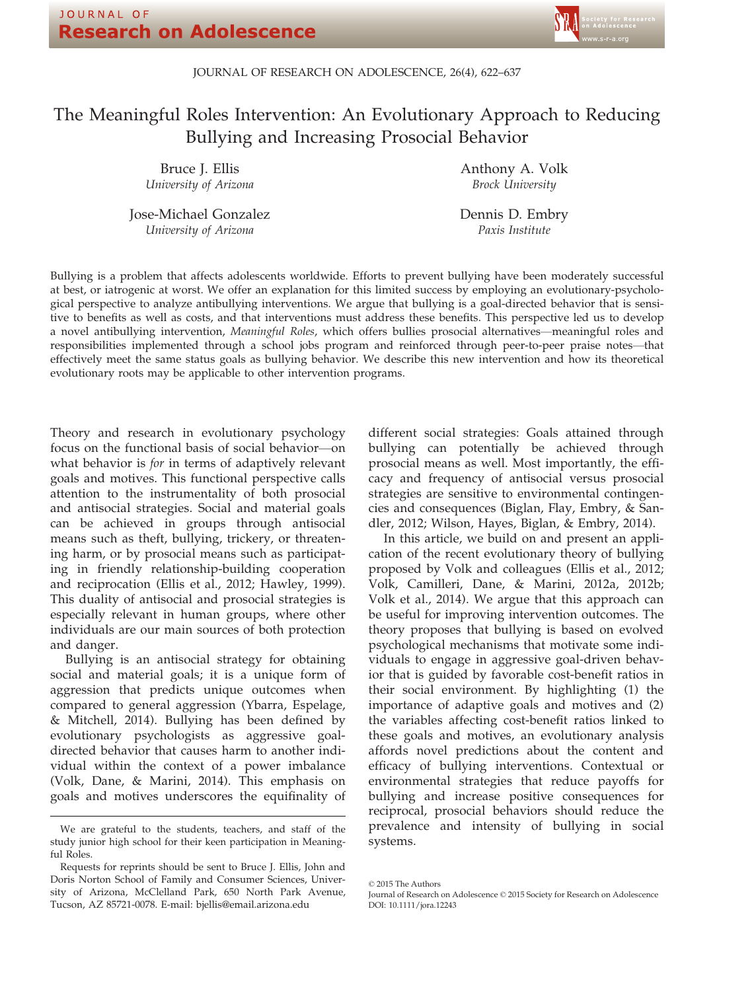#### JOURNAL OF RESEARCH ON ADOLESCENCE, 26(4), 622–637

# The Meaningful Roles Intervention: An Evolutionary Approach to Reducing Bullying and Increasing Prosocial Behavior

Bruce J. Ellis University of Arizona

Jose-Michael Gonzalez University of Arizona

Anthony A. Volk Brock University

Dennis D. Embry Paxis Institute

Bullying is a problem that affects adolescents worldwide. Efforts to prevent bullying have been moderately successful at best, or iatrogenic at worst. We offer an explanation for this limited success by employing an evolutionary-psychological perspective to analyze antibullying interventions. We argue that bullying is a goal-directed behavior that is sensitive to benefits as well as costs, and that interventions must address these benefits. This perspective led us to develop a novel antibullying intervention, Meaningful Roles, which offers bullies prosocial alternatives—meaningful roles and responsibilities implemented through a school jobs program and reinforced through peer-to-peer praise notes—that effectively meet the same status goals as bullying behavior. We describe this new intervention and how its theoretical evolutionary roots may be applicable to other intervention programs.

Theory and research in evolutionary psychology focus on the functional basis of social behavior—on what behavior is for in terms of adaptively relevant goals and motives. This functional perspective calls attention to the instrumentality of both prosocial and antisocial strategies. Social and material goals can be achieved in groups through antisocial means such as theft, bullying, trickery, or threatening harm, or by prosocial means such as participating in friendly relationship-building cooperation and reciprocation (Ellis et al., 2012; Hawley, 1999). This duality of antisocial and prosocial strategies is especially relevant in human groups, where other individuals are our main sources of both protection and danger.

Bullying is an antisocial strategy for obtaining social and material goals; it is a unique form of aggression that predicts unique outcomes when compared to general aggression (Ybarra, Espelage, & Mitchell, 2014). Bullying has been defined by evolutionary psychologists as aggressive goaldirected behavior that causes harm to another individual within the context of a power imbalance (Volk, Dane, & Marini, 2014). This emphasis on goals and motives underscores the equifinality of different social strategies: Goals attained through bullying can potentially be achieved through prosocial means as well. Most importantly, the efficacy and frequency of antisocial versus prosocial strategies are sensitive to environmental contingencies and consequences (Biglan, Flay, Embry, & Sandler, 2012; Wilson, Hayes, Biglan, & Embry, 2014).

In this article, we build on and present an application of the recent evolutionary theory of bullying proposed by Volk and colleagues (Ellis et al., 2012; Volk, Camilleri, Dane, & Marini, 2012a, 2012b; Volk et al., 2014). We argue that this approach can be useful for improving intervention outcomes. The theory proposes that bullying is based on evolved psychological mechanisms that motivate some individuals to engage in aggressive goal-driven behavior that is guided by favorable cost-benefit ratios in their social environment. By highlighting (1) the importance of adaptive goals and motives and (2) the variables affecting cost-benefit ratios linked to these goals and motives, an evolutionary analysis affords novel predictions about the content and efficacy of bullying interventions. Contextual or environmental strategies that reduce payoffs for bullying and increase positive consequences for reciprocal, prosocial behaviors should reduce the prevalence and intensity of bullying in social systems.

We are grateful to the students, teachers, and staff of the study junior high school for their keen participation in Meaningful Roles.

Requests for reprints should be sent to Bruce J. Ellis, John and Doris Norton School of Family and Consumer Sciences, University of Arizona, McClelland Park, 650 North Park Avenue, Tucson, AZ 85721-0078. E-mail: bjellis@email.arizona.edu

<sup>©</sup> 2015 The Authors

Journal of Research on Adolescence © 2015 Society for Research on Adolescence DOI: 10.1111/jora.12243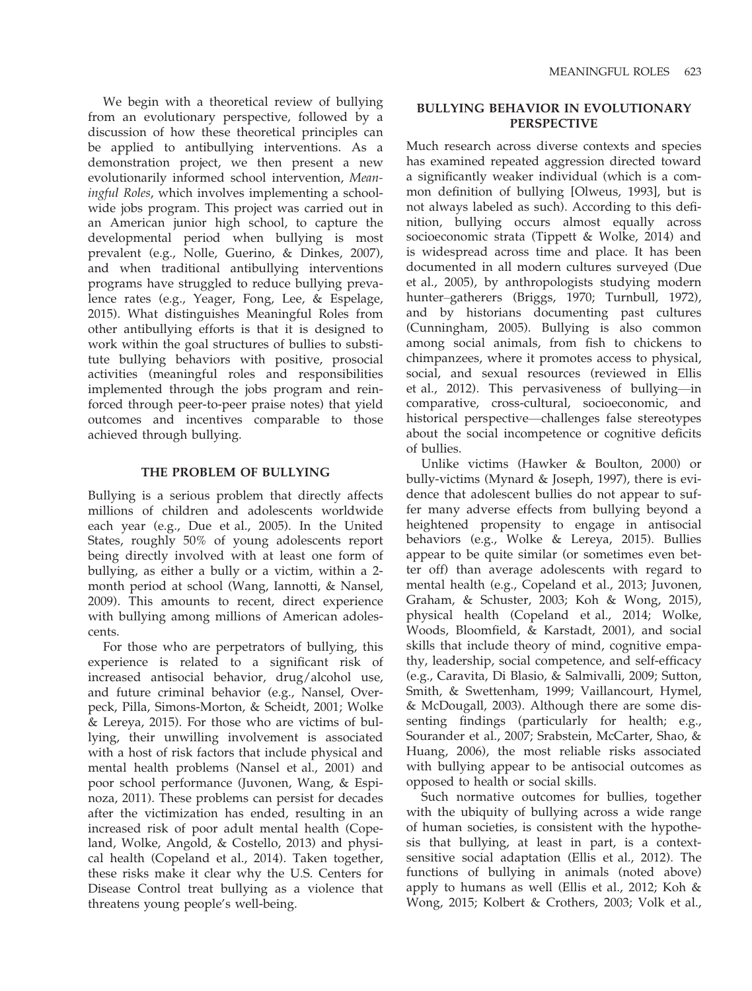We begin with a theoretical review of bullying from an evolutionary perspective, followed by a discussion of how these theoretical principles can be applied to antibullying interventions. As a demonstration project, we then present a new evolutionarily informed school intervention, Meaningful Roles, which involves implementing a schoolwide jobs program. This project was carried out in an American junior high school, to capture the developmental period when bullying is most prevalent (e.g., Nolle, Guerino, & Dinkes, 2007), and when traditional antibullying interventions programs have struggled to reduce bullying prevalence rates (e.g., Yeager, Fong, Lee, & Espelage, 2015). What distinguishes Meaningful Roles from other antibullying efforts is that it is designed to work within the goal structures of bullies to substitute bullying behaviors with positive, prosocial activities (meaningful roles and responsibilities implemented through the jobs program and reinforced through peer-to-peer praise notes) that yield outcomes and incentives comparable to those achieved through bullying.

#### THE PROBLEM OF BULLYING

Bullying is a serious problem that directly affects millions of children and adolescents worldwide each year (e.g., Due et al., 2005). In the United States, roughly 50% of young adolescents report being directly involved with at least one form of bullying, as either a bully or a victim, within a 2 month period at school (Wang, Iannotti, & Nansel, 2009). This amounts to recent, direct experience with bullying among millions of American adolescents.

For those who are perpetrators of bullying, this experience is related to a significant risk of increased antisocial behavior, drug/alcohol use, and future criminal behavior (e.g., Nansel, Overpeck, Pilla, Simons-Morton, & Scheidt, 2001; Wolke & Lereya, 2015). For those who are victims of bullying, their unwilling involvement is associated with a host of risk factors that include physical and mental health problems (Nansel et al., 2001) and poor school performance (Juvonen, Wang, & Espinoza, 2011). These problems can persist for decades after the victimization has ended, resulting in an increased risk of poor adult mental health (Copeland, Wolke, Angold, & Costello, 2013) and physical health (Copeland et al., 2014). Taken together, these risks make it clear why the U.S. Centers for Disease Control treat bullying as a violence that threatens young people's well-being.

### BULLYING BEHAVIOR IN EVOLUTIONARY PERSPECTIVE

Much research across diverse contexts and species has examined repeated aggression directed toward a significantly weaker individual (which is a common definition of bullying [Olweus, 1993], but is not always labeled as such). According to this definition, bullying occurs almost equally across socioeconomic strata (Tippett & Wolke, 2014) and is widespread across time and place. It has been documented in all modern cultures surveyed (Due et al., 2005), by anthropologists studying modern hunter–gatherers (Briggs, 1970; Turnbull, 1972), and by historians documenting past cultures (Cunningham, 2005). Bullying is also common among social animals, from fish to chickens to chimpanzees, where it promotes access to physical, social, and sexual resources (reviewed in Ellis et al., 2012). This pervasiveness of bullying—in comparative, cross-cultural, socioeconomic, and historical perspective—challenges false stereotypes about the social incompetence or cognitive deficits of bullies.

Unlike victims (Hawker & Boulton, 2000) or bully-victims (Mynard & Joseph, 1997), there is evidence that adolescent bullies do not appear to suffer many adverse effects from bullying beyond a heightened propensity to engage in antisocial behaviors (e.g., Wolke & Lereya, 2015). Bullies appear to be quite similar (or sometimes even better off) than average adolescents with regard to mental health (e.g., Copeland et al., 2013; Juvonen, Graham, & Schuster, 2003; Koh & Wong, 2015), physical health (Copeland et al., 2014; Wolke, Woods, Bloomfield, & Karstadt, 2001), and social skills that include theory of mind, cognitive empathy, leadership, social competence, and self-efficacy (e.g., Caravita, Di Blasio, & Salmivalli, 2009; Sutton, Smith, & Swettenham, 1999; Vaillancourt, Hymel, & McDougall, 2003). Although there are some dissenting findings (particularly for health; e.g., Sourander et al., 2007; Srabstein, McCarter, Shao, & Huang, 2006), the most reliable risks associated with bullying appear to be antisocial outcomes as opposed to health or social skills.

Such normative outcomes for bullies, together with the ubiquity of bullying across a wide range of human societies, is consistent with the hypothesis that bullying, at least in part, is a contextsensitive social adaptation (Ellis et al., 2012). The functions of bullying in animals (noted above) apply to humans as well (Ellis et al., 2012; Koh & Wong, 2015; Kolbert & Crothers, 2003; Volk et al.,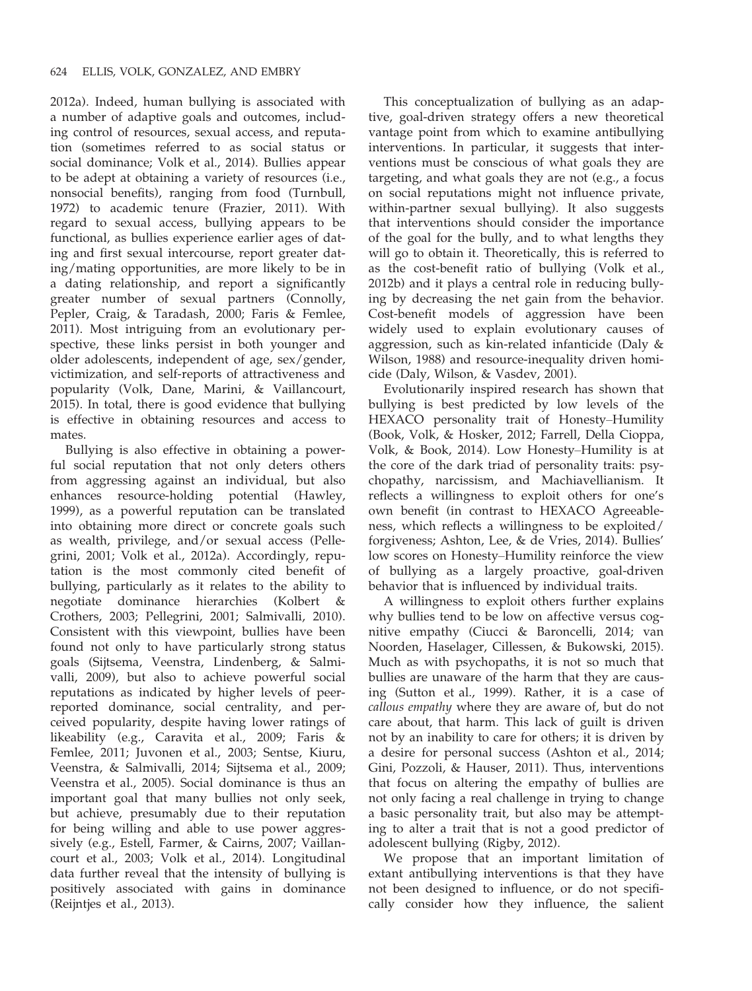2012a). Indeed, human bullying is associated with a number of adaptive goals and outcomes, including control of resources, sexual access, and reputation (sometimes referred to as social status or social dominance; Volk et al., 2014). Bullies appear to be adept at obtaining a variety of resources (i.e., nonsocial benefits), ranging from food (Turnbull, 1972) to academic tenure (Frazier, 2011). With regard to sexual access, bullying appears to be functional, as bullies experience earlier ages of dating and first sexual intercourse, report greater dating/mating opportunities, are more likely to be in a dating relationship, and report a significantly greater number of sexual partners (Connolly, Pepler, Craig, & Taradash, 2000; Faris & Femlee, 2011). Most intriguing from an evolutionary perspective, these links persist in both younger and older adolescents, independent of age, sex/gender, victimization, and self-reports of attractiveness and popularity (Volk, Dane, Marini, & Vaillancourt, 2015). In total, there is good evidence that bullying is effective in obtaining resources and access to mates.

Bullying is also effective in obtaining a powerful social reputation that not only deters others from aggressing against an individual, but also enhances resource-holding potential (Hawley, 1999), as a powerful reputation can be translated into obtaining more direct or concrete goals such as wealth, privilege, and/or sexual access (Pellegrini, 2001; Volk et al., 2012a). Accordingly, reputation is the most commonly cited benefit of bullying, particularly as it relates to the ability to negotiate dominance hierarchies (Kolbert & Crothers, 2003; Pellegrini, 2001; Salmivalli, 2010). Consistent with this viewpoint, bullies have been found not only to have particularly strong status goals (Sijtsema, Veenstra, Lindenberg, & Salmivalli, 2009), but also to achieve powerful social reputations as indicated by higher levels of peerreported dominance, social centrality, and perceived popularity, despite having lower ratings of likeability (e.g., Caravita et al., 2009; Faris & Femlee, 2011; Juvonen et al., 2003; Sentse, Kiuru, Veenstra, & Salmivalli, 2014; Sijtsema et al., 2009; Veenstra et al., 2005). Social dominance is thus an important goal that many bullies not only seek, but achieve, presumably due to their reputation for being willing and able to use power aggressively (e.g., Estell, Farmer, & Cairns, 2007; Vaillancourt et al., 2003; Volk et al., 2014). Longitudinal data further reveal that the intensity of bullying is positively associated with gains in dominance (Reijntjes et al., 2013).

This conceptualization of bullying as an adaptive, goal-driven strategy offers a new theoretical vantage point from which to examine antibullying interventions. In particular, it suggests that interventions must be conscious of what goals they are targeting, and what goals they are not (e.g., a focus on social reputations might not influence private, within-partner sexual bullying). It also suggests that interventions should consider the importance of the goal for the bully, and to what lengths they will go to obtain it. Theoretically, this is referred to as the cost-benefit ratio of bullying (Volk et al., 2012b) and it plays a central role in reducing bullying by decreasing the net gain from the behavior. Cost-benefit models of aggression have been widely used to explain evolutionary causes of aggression, such as kin-related infanticide (Daly & Wilson, 1988) and resource-inequality driven homicide (Daly, Wilson, & Vasdev, 2001).

Evolutionarily inspired research has shown that bullying is best predicted by low levels of the HEXACO personality trait of Honesty–Humility (Book, Volk, & Hosker, 2012; Farrell, Della Cioppa, Volk, & Book, 2014). Low Honesty–Humility is at the core of the dark triad of personality traits: psychopathy, narcissism, and Machiavellianism. It reflects a willingness to exploit others for one's own benefit (in contrast to HEXACO Agreeableness, which reflects a willingness to be exploited/ forgiveness; Ashton, Lee, & de Vries, 2014). Bullies' low scores on Honesty–Humility reinforce the view of bullying as a largely proactive, goal-driven behavior that is influenced by individual traits.

A willingness to exploit others further explains why bullies tend to be low on affective versus cognitive empathy (Ciucci & Baroncelli, 2014; van Noorden, Haselager, Cillessen, & Bukowski, 2015). Much as with psychopaths, it is not so much that bullies are unaware of the harm that they are causing (Sutton et al., 1999). Rather, it is a case of callous empathy where they are aware of, but do not care about, that harm. This lack of guilt is driven not by an inability to care for others; it is driven by a desire for personal success (Ashton et al., 2014; Gini, Pozzoli, & Hauser, 2011). Thus, interventions that focus on altering the empathy of bullies are not only facing a real challenge in trying to change a basic personality trait, but also may be attempting to alter a trait that is not a good predictor of adolescent bullying (Rigby, 2012).

We propose that an important limitation of extant antibullying interventions is that they have not been designed to influence, or do not specifically consider how they influence, the salient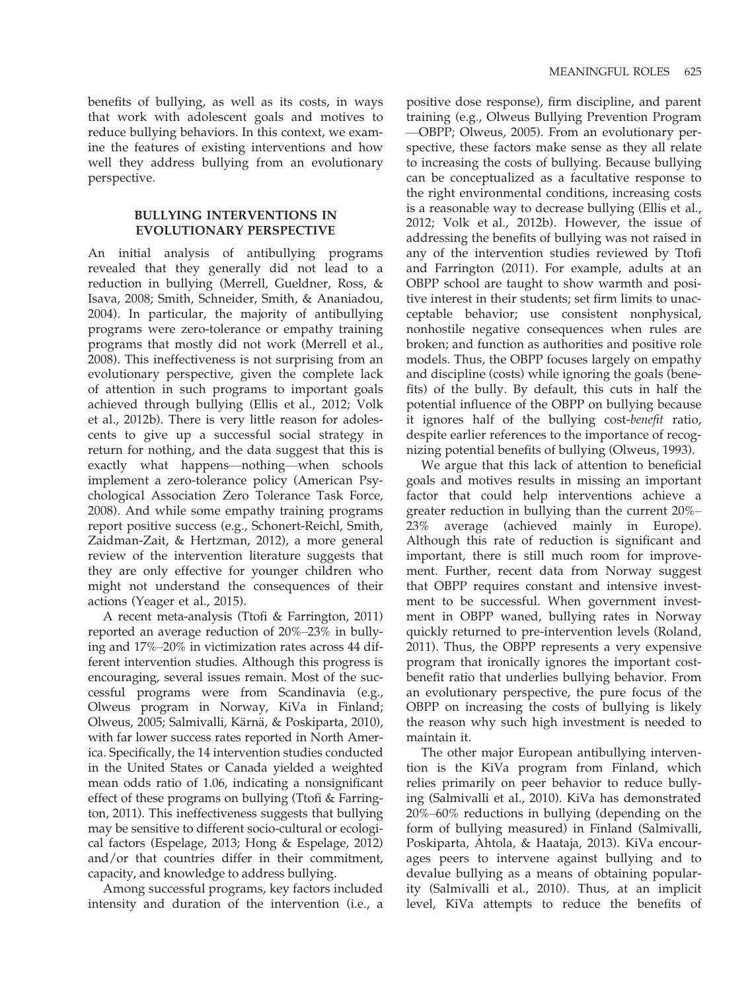benefits of bullying, as well as its costs, in ways that work with adolescent goals and motives to reduce bullying behaviors. In this context, we examine the features of existing interventions and how well they address bullying from an evolutionary perspective.

# BULLYING INTERVENTIONS IN EVOLUTIONARY PERSPECTIVE

An initial analysis of antibullying programs revealed that they generally did not lead to a reduction in bullying (Merrell, Gueldner, Ross, & Isava, 2008; Smith, Schneider, Smith, & Ananiadou, 2004). In particular, the majority of antibullying programs were zero-tolerance or empathy training programs that mostly did not work (Merrell et al., 2008). This ineffectiveness is not surprising from an evolutionary perspective, given the complete lack of attention in such programs to important goals achieved through bullying (Ellis et al., 2012; Volk et al., 2012b). There is very little reason for adolescents to give up a successful social strategy in return for nothing, and the data suggest that this is exactly what happens—nothing—when schools implement a zero-tolerance policy (American Psychological Association Zero Tolerance Task Force, 2008). And while some empathy training programs report positive success (e.g., Schonert-Reichl, Smith, Zaidman-Zait, & Hertzman, 2012), a more general review of the intervention literature suggests that they are only effective for younger children who might not understand the consequences of their actions (Yeager et al., 2015).

A recent meta-analysis (Ttofi & Farrington, 2011) reported an average reduction of 20%–23% in bullying and 17%–20% in victimization rates across 44 different intervention studies. Although this progress is encouraging, several issues remain. Most of the successful programs were from Scandinavia (e.g., Olweus program in Norway, KiVa in Finland; Olweus, 2005; Salmivalli, Kärnä, & Poskiparta, 2010), with far lower success rates reported in North America. Specifically, the 14 intervention studies conducted in the United States or Canada yielded a weighted mean odds ratio of 1.06, indicating a nonsignificant effect of these programs on bullying (Ttofi & Farrington, 2011). This ineffectiveness suggests that bullying may be sensitive to different socio-cultural or ecological factors (Espelage, 2013; Hong & Espelage, 2012) and/or that countries differ in their commitment, capacity, and knowledge to address bullying.

Among successful programs, key factors included intensity and duration of the intervention (i.e., a

positive dose response), firm discipline, and parent training (e.g., Olweus Bullying Prevention Program —OBPP; Olweus, 2005). From an evolutionary perspective, these factors make sense as they all relate to increasing the costs of bullying. Because bullying can be conceptualized as a facultative response to the right environmental conditions, increasing costs is a reasonable way to decrease bullying (Ellis et al., 2012; Volk et al., 2012b). However, the issue of addressing the benefits of bullying was not raised in any of the intervention studies reviewed by Ttofi and Farrington (2011). For example, adults at an OBPP school are taught to show warmth and positive interest in their students; set firm limits to unacceptable behavior; use consistent nonphysical, nonhostile negative consequences when rules are broken; and function as authorities and positive role models. Thus, the OBPP focuses largely on empathy and discipline (costs) while ignoring the goals (benefits) of the bully. By default, this cuts in half the potential influence of the OBPP on bullying because it ignores half of the bullying cost-benefit ratio, despite earlier references to the importance of recognizing potential benefits of bullying (Olweus, 1993).

We argue that this lack of attention to beneficial goals and motives results in missing an important factor that could help interventions achieve a greater reduction in bullying than the current 20%– 23% average (achieved mainly in Europe). Although this rate of reduction is significant and important, there is still much room for improvement. Further, recent data from Norway suggest that OBPP requires constant and intensive investment to be successful. When government investment in OBPP waned, bullying rates in Norway quickly returned to pre-intervention levels (Roland, 2011). Thus, the OBPP represents a very expensive program that ironically ignores the important costbenefit ratio that underlies bullying behavior. From an evolutionary perspective, the pure focus of the OBPP on increasing the costs of bullying is likely the reason why such high investment is needed to maintain it.

The other major European antibullying intervention is the KiVa program from Finland, which relies primarily on peer behavior to reduce bullying (Salmivalli et al., 2010). KiVa has demonstrated 20%–60% reductions in bullying (depending on the form of bullying measured) in Finland (Salmivalli, Poskiparta, Ahtola, & Haataja, 2013). KiVa encourages peers to intervene against bullying and to devalue bullying as a means of obtaining popularity (Salmivalli et al., 2010). Thus, at an implicit level, KiVa attempts to reduce the benefits of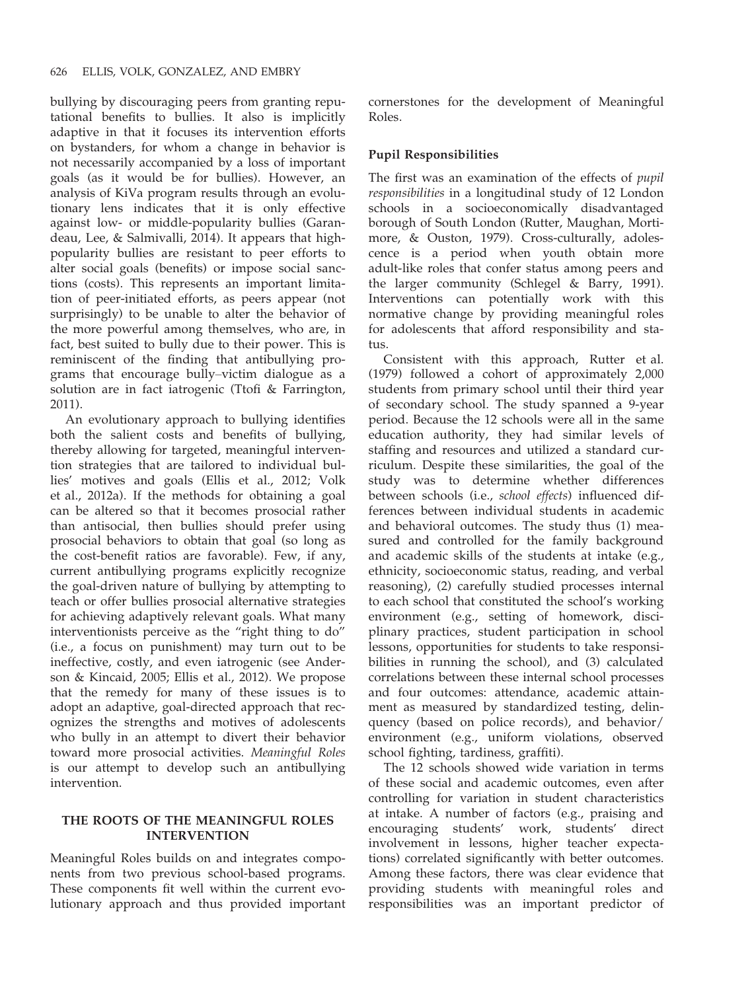bullying by discouraging peers from granting reputational benefits to bullies. It also is implicitly adaptive in that it focuses its intervention efforts on bystanders, for whom a change in behavior is not necessarily accompanied by a loss of important goals (as it would be for bullies). However, an analysis of KiVa program results through an evolutionary lens indicates that it is only effective against low- or middle-popularity bullies (Garandeau, Lee, & Salmivalli, 2014). It appears that highpopularity bullies are resistant to peer efforts to alter social goals (benefits) or impose social sanctions (costs). This represents an important limitation of peer-initiated efforts, as peers appear (not surprisingly) to be unable to alter the behavior of the more powerful among themselves, who are, in fact, best suited to bully due to their power. This is reminiscent of the finding that antibullying programs that encourage bully–victim dialogue as a solution are in fact iatrogenic (Ttofi & Farrington, 2011).

An evolutionary approach to bullying identifies both the salient costs and benefits of bullying, thereby allowing for targeted, meaningful intervention strategies that are tailored to individual bullies' motives and goals (Ellis et al., 2012; Volk et al., 2012a). If the methods for obtaining a goal can be altered so that it becomes prosocial rather than antisocial, then bullies should prefer using prosocial behaviors to obtain that goal (so long as the cost-benefit ratios are favorable). Few, if any, current antibullying programs explicitly recognize the goal-driven nature of bullying by attempting to teach or offer bullies prosocial alternative strategies for achieving adaptively relevant goals. What many interventionists perceive as the "right thing to do" (i.e., a focus on punishment) may turn out to be ineffective, costly, and even iatrogenic (see Anderson & Kincaid, 2005; Ellis et al., 2012). We propose that the remedy for many of these issues is to adopt an adaptive, goal-directed approach that recognizes the strengths and motives of adolescents who bully in an attempt to divert their behavior toward more prosocial activities. Meaningful Roles is our attempt to develop such an antibullying intervention.

## THE ROOTS OF THE MEANINGFUL ROLES INTERVENTION

Meaningful Roles builds on and integrates components from two previous school-based programs. These components fit well within the current evolutionary approach and thus provided important cornerstones for the development of Meaningful Roles.

### Pupil Responsibilities

The first was an examination of the effects of *pupil* responsibilities in a longitudinal study of 12 London schools in a socioeconomically disadvantaged borough of South London (Rutter, Maughan, Mortimore, & Ouston, 1979). Cross-culturally, adolescence is a period when youth obtain more adult-like roles that confer status among peers and the larger community (Schlegel & Barry, 1991). Interventions can potentially work with this normative change by providing meaningful roles for adolescents that afford responsibility and status.

Consistent with this approach, Rutter et al. (1979) followed a cohort of approximately 2,000 students from primary school until their third year of secondary school. The study spanned a 9-year period. Because the 12 schools were all in the same education authority, they had similar levels of staffing and resources and utilized a standard curriculum. Despite these similarities, the goal of the study was to determine whether differences between schools (i.e., school effects) influenced differences between individual students in academic and behavioral outcomes. The study thus (1) measured and controlled for the family background and academic skills of the students at intake (e.g., ethnicity, socioeconomic status, reading, and verbal reasoning), (2) carefully studied processes internal to each school that constituted the school's working environment (e.g., setting of homework, disciplinary practices, student participation in school lessons, opportunities for students to take responsibilities in running the school), and (3) calculated correlations between these internal school processes and four outcomes: attendance, academic attainment as measured by standardized testing, delinquency (based on police records), and behavior/ environment (e.g., uniform violations, observed school fighting, tardiness, graffiti).

The 12 schools showed wide variation in terms of these social and academic outcomes, even after controlling for variation in student characteristics at intake. A number of factors (e.g., praising and encouraging students' work, students' direct involvement in lessons, higher teacher expectations) correlated significantly with better outcomes. Among these factors, there was clear evidence that providing students with meaningful roles and responsibilities was an important predictor of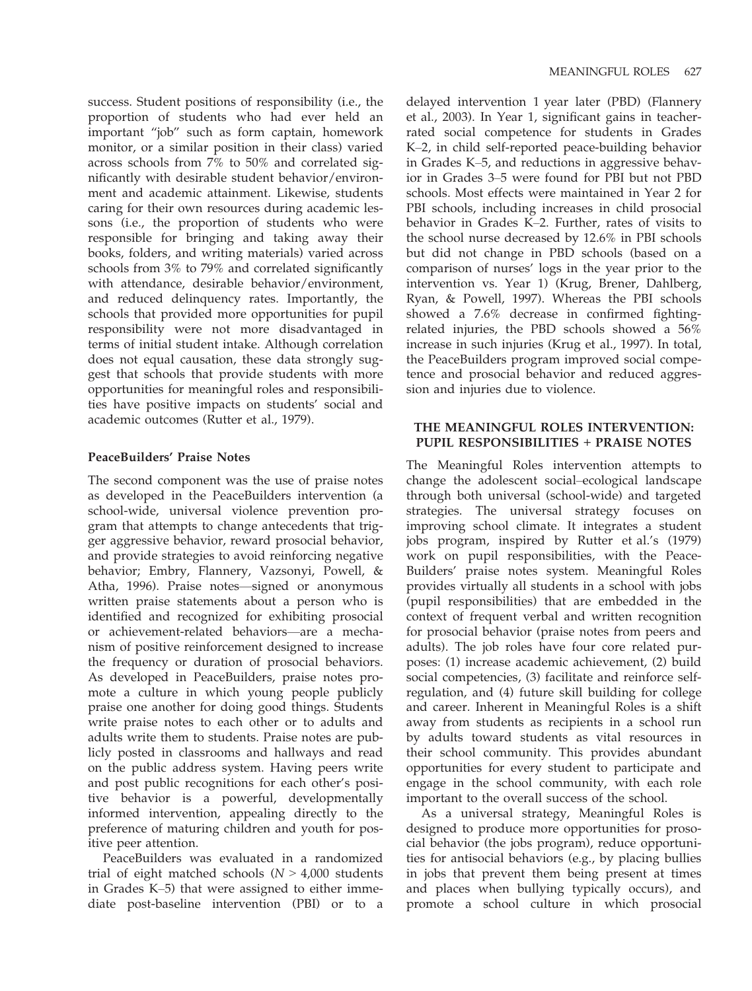success. Student positions of responsibility (i.e., the proportion of students who had ever held an important "job" such as form captain, homework monitor, or a similar position in their class) varied across schools from 7% to 50% and correlated significantly with desirable student behavior/environment and academic attainment. Likewise, students caring for their own resources during academic lessons (i.e., the proportion of students who were responsible for bringing and taking away their books, folders, and writing materials) varied across schools from 3% to 79% and correlated significantly with attendance, desirable behavior/environment, and reduced delinquency rates. Importantly, the schools that provided more opportunities for pupil responsibility were not more disadvantaged in terms of initial student intake. Although correlation does not equal causation, these data strongly suggest that schools that provide students with more opportunities for meaningful roles and responsibilities have positive impacts on students' social and academic outcomes (Rutter et al., 1979).

## PeaceBuilders' Praise Notes

The second component was the use of praise notes as developed in the PeaceBuilders intervention (a school-wide, universal violence prevention program that attempts to change antecedents that trigger aggressive behavior, reward prosocial behavior, and provide strategies to avoid reinforcing negative behavior; Embry, Flannery, Vazsonyi, Powell, & Atha, 1996). Praise notes—signed or anonymous written praise statements about a person who is identified and recognized for exhibiting prosocial or achievement-related behaviors—are a mechanism of positive reinforcement designed to increase the frequency or duration of prosocial behaviors. As developed in PeaceBuilders, praise notes promote a culture in which young people publicly praise one another for doing good things. Students write praise notes to each other or to adults and adults write them to students. Praise notes are publicly posted in classrooms and hallways and read on the public address system. Having peers write and post public recognitions for each other's positive behavior is a powerful, developmentally informed intervention, appealing directly to the preference of maturing children and youth for positive peer attention.

PeaceBuilders was evaluated in a randomized trial of eight matched schools  $(N > 4,000$  students in Grades K–5) that were assigned to either immediate post-baseline intervention (PBI) or to a

delayed intervention 1 year later (PBD) (Flannery et al., 2003). In Year 1, significant gains in teacherrated social competence for students in Grades K–2, in child self-reported peace-building behavior in Grades K–5, and reductions in aggressive behavior in Grades 3–5 were found for PBI but not PBD schools. Most effects were maintained in Year 2 for PBI schools, including increases in child prosocial behavior in Grades K–2. Further, rates of visits to the school nurse decreased by 12.6% in PBI schools but did not change in PBD schools (based on a comparison of nurses' logs in the year prior to the intervention vs. Year 1) (Krug, Brener, Dahlberg, Ryan, & Powell, 1997). Whereas the PBI schools showed a 7.6% decrease in confirmed fightingrelated injuries, the PBD schools showed a 56% increase in such injuries (Krug et al., 1997). In total, the PeaceBuilders program improved social competence and prosocial behavior and reduced aggression and injuries due to violence.

## THE MEANINGFUL ROLES INTERVENTION: PUPIL RESPONSIBILITIES + PRAISE NOTES

The Meaningful Roles intervention attempts to change the adolescent social–ecological landscape through both universal (school-wide) and targeted strategies. The universal strategy focuses on improving school climate. It integrates a student jobs program, inspired by Rutter et al.'s (1979) work on pupil responsibilities, with the Peace-Builders' praise notes system. Meaningful Roles provides virtually all students in a school with jobs (pupil responsibilities) that are embedded in the context of frequent verbal and written recognition for prosocial behavior (praise notes from peers and adults). The job roles have four core related purposes: (1) increase academic achievement, (2) build social competencies, (3) facilitate and reinforce selfregulation, and (4) future skill building for college and career. Inherent in Meaningful Roles is a shift away from students as recipients in a school run by adults toward students as vital resources in their school community. This provides abundant opportunities for every student to participate and engage in the school community, with each role important to the overall success of the school.

As a universal strategy, Meaningful Roles is designed to produce more opportunities for prosocial behavior (the jobs program), reduce opportunities for antisocial behaviors (e.g., by placing bullies in jobs that prevent them being present at times and places when bullying typically occurs), and promote a school culture in which prosocial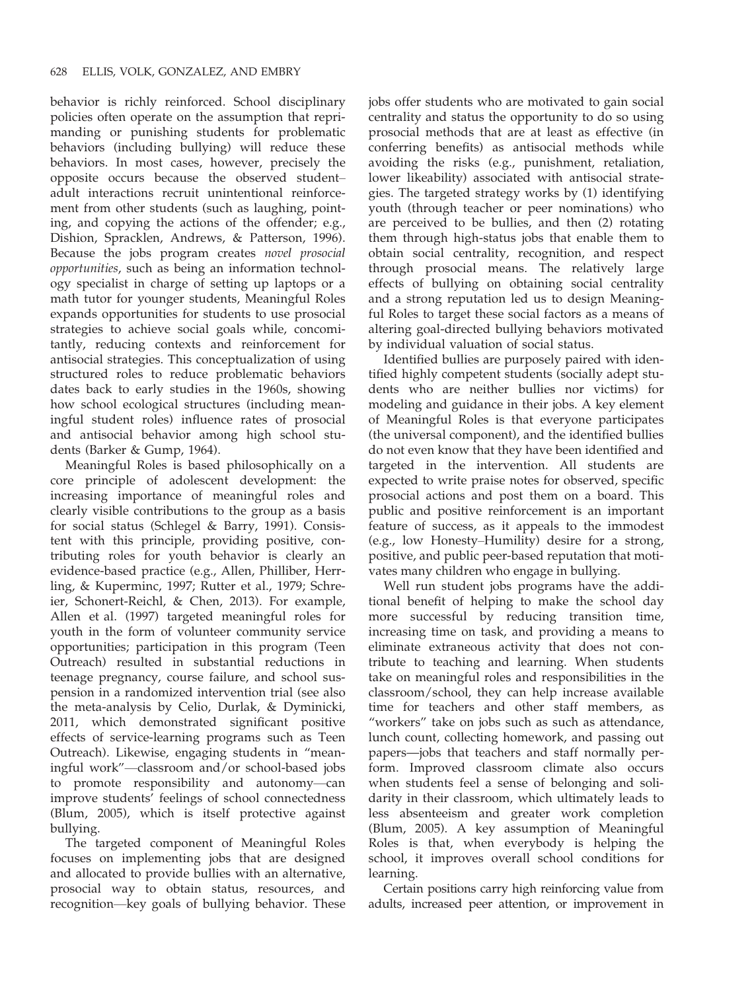behavior is richly reinforced. School disciplinary policies often operate on the assumption that reprimanding or punishing students for problematic behaviors (including bullying) will reduce these behaviors. In most cases, however, precisely the opposite occurs because the observed student– adult interactions recruit unintentional reinforcement from other students (such as laughing, pointing, and copying the actions of the offender; e.g., Dishion, Spracklen, Andrews, & Patterson, 1996). Because the jobs program creates novel prosocial opportunities, such as being an information technology specialist in charge of setting up laptops or a math tutor for younger students, Meaningful Roles expands opportunities for students to use prosocial strategies to achieve social goals while, concomitantly, reducing contexts and reinforcement for antisocial strategies. This conceptualization of using structured roles to reduce problematic behaviors dates back to early studies in the 1960s, showing how school ecological structures (including meaningful student roles) influence rates of prosocial and antisocial behavior among high school students (Barker & Gump, 1964).

Meaningful Roles is based philosophically on a core principle of adolescent development: the increasing importance of meaningful roles and clearly visible contributions to the group as a basis for social status (Schlegel & Barry, 1991). Consistent with this principle, providing positive, contributing roles for youth behavior is clearly an evidence-based practice (e.g., Allen, Philliber, Herrling, & Kuperminc, 1997; Rutter et al., 1979; Schreier, Schonert-Reichl, & Chen, 2013). For example, Allen et al. (1997) targeted meaningful roles for youth in the form of volunteer community service opportunities; participation in this program (Teen Outreach) resulted in substantial reductions in teenage pregnancy, course failure, and school suspension in a randomized intervention trial (see also the meta-analysis by Celio, Durlak, & Dyminicki, 2011, which demonstrated significant positive effects of service-learning programs such as Teen Outreach). Likewise, engaging students in "meaningful work"—classroom and/or school-based jobs to promote responsibility and autonomy—can improve students' feelings of school connectedness (Blum, 2005), which is itself protective against bullying.

The targeted component of Meaningful Roles focuses on implementing jobs that are designed and allocated to provide bullies with an alternative, prosocial way to obtain status, resources, and recognition—key goals of bullying behavior. These jobs offer students who are motivated to gain social centrality and status the opportunity to do so using prosocial methods that are at least as effective (in conferring benefits) as antisocial methods while avoiding the risks (e.g., punishment, retaliation, lower likeability) associated with antisocial strategies. The targeted strategy works by (1) identifying youth (through teacher or peer nominations) who are perceived to be bullies, and then (2) rotating them through high-status jobs that enable them to obtain social centrality, recognition, and respect through prosocial means. The relatively large effects of bullying on obtaining social centrality and a strong reputation led us to design Meaningful Roles to target these social factors as a means of altering goal-directed bullying behaviors motivated by individual valuation of social status.

Identified bullies are purposely paired with identified highly competent students (socially adept students who are neither bullies nor victims) for modeling and guidance in their jobs. A key element of Meaningful Roles is that everyone participates (the universal component), and the identified bullies do not even know that they have been identified and targeted in the intervention. All students are expected to write praise notes for observed, specific prosocial actions and post them on a board. This public and positive reinforcement is an important feature of success, as it appeals to the immodest (e.g., low Honesty–Humility) desire for a strong, positive, and public peer-based reputation that motivates many children who engage in bullying.

Well run student jobs programs have the additional benefit of helping to make the school day more successful by reducing transition time, increasing time on task, and providing a means to eliminate extraneous activity that does not contribute to teaching and learning. When students take on meaningful roles and responsibilities in the classroom/school, they can help increase available time for teachers and other staff members, as "workers" take on jobs such as such as attendance, lunch count, collecting homework, and passing out papers—jobs that teachers and staff normally perform. Improved classroom climate also occurs when students feel a sense of belonging and solidarity in their classroom, which ultimately leads to less absenteeism and greater work completion (Blum, 2005). A key assumption of Meaningful Roles is that, when everybody is helping the school, it improves overall school conditions for learning.

Certain positions carry high reinforcing value from adults, increased peer attention, or improvement in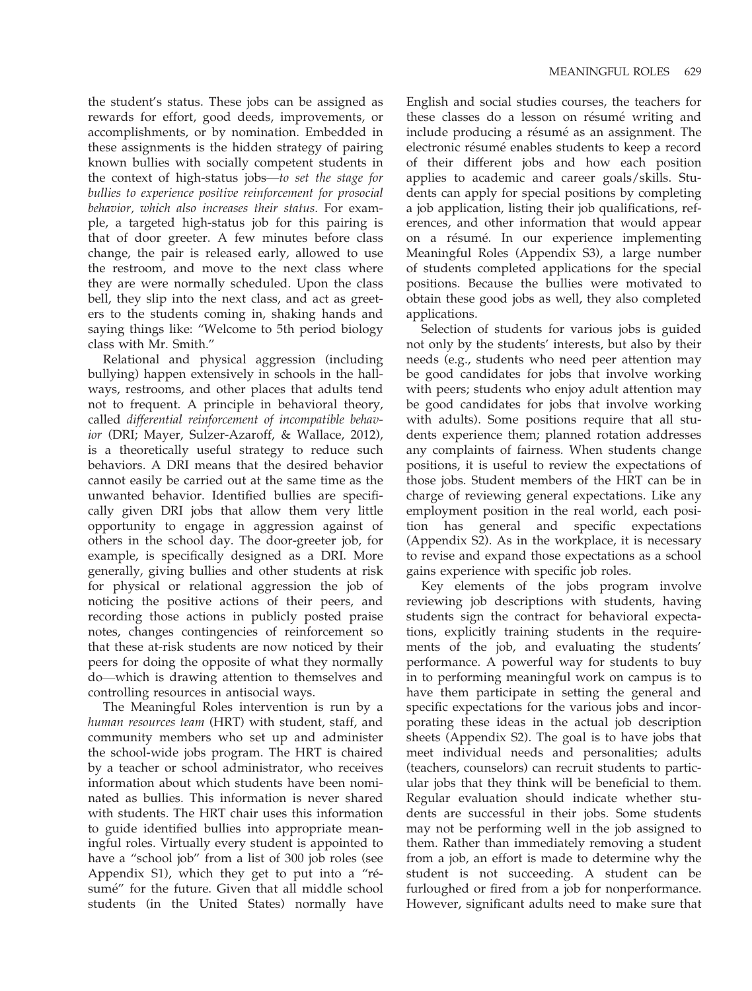the student's status. These jobs can be assigned as rewards for effort, good deeds, improvements, or accomplishments, or by nomination. Embedded in these assignments is the hidden strategy of pairing known bullies with socially competent students in the context of high-status jobs—to set the stage for bullies to experience positive reinforcement for prosocial behavior, which also increases their status. For example, a targeted high-status job for this pairing is that of door greeter. A few minutes before class change, the pair is released early, allowed to use the restroom, and move to the next class where they are were normally scheduled. Upon the class bell, they slip into the next class, and act as greeters to the students coming in, shaking hands and saying things like: "Welcome to 5th period biology class with Mr. Smith."

Relational and physical aggression (including bullying) happen extensively in schools in the hallways, restrooms, and other places that adults tend not to frequent. A principle in behavioral theory, called differential reinforcement of incompatible behavior (DRI; Mayer, Sulzer-Azaroff, & Wallace, 2012), is a theoretically useful strategy to reduce such behaviors. A DRI means that the desired behavior cannot easily be carried out at the same time as the unwanted behavior. Identified bullies are specifically given DRI jobs that allow them very little opportunity to engage in aggression against of others in the school day. The door-greeter job, for example, is specifically designed as a DRI. More generally, giving bullies and other students at risk for physical or relational aggression the job of noticing the positive actions of their peers, and recording those actions in publicly posted praise notes, changes contingencies of reinforcement so that these at-risk students are now noticed by their peers for doing the opposite of what they normally do—which is drawing attention to themselves and controlling resources in antisocial ways.

The Meaningful Roles intervention is run by a human resources team (HRT) with student, staff, and community members who set up and administer the school-wide jobs program. The HRT is chaired by a teacher or school administrator, who receives information about which students have been nominated as bullies. This information is never shared with students. The HRT chair uses this information to guide identified bullies into appropriate meaningful roles. Virtually every student is appointed to have a "school job" from a list of 300 job roles (see Appendix S1), which they get to put into a "résumé" for the future. Given that all middle school students (in the United States) normally have

English and social studies courses, the teachers for these classes do a lesson on résumé writing and include producing a résumé as an assignment. The electronic résumé enables students to keep a record of their different jobs and how each position applies to academic and career goals/skills. Students can apply for special positions by completing a job application, listing their job qualifications, references, and other information that would appear on a résumé. In our experience implementing Meaningful Roles (Appendix S3), a large number of students completed applications for the special positions. Because the bullies were motivated to obtain these good jobs as well, they also completed applications.

Selection of students for various jobs is guided not only by the students' interests, but also by their needs (e.g., students who need peer attention may be good candidates for jobs that involve working with peers; students who enjoy adult attention may be good candidates for jobs that involve working with adults). Some positions require that all students experience them; planned rotation addresses any complaints of fairness. When students change positions, it is useful to review the expectations of those jobs. Student members of the HRT can be in charge of reviewing general expectations. Like any employment position in the real world, each position has general and specific expectations (Appendix S2). As in the workplace, it is necessary to revise and expand those expectations as a school gains experience with specific job roles.

Key elements of the jobs program involve reviewing job descriptions with students, having students sign the contract for behavioral expectations, explicitly training students in the requirements of the job, and evaluating the students' performance. A powerful way for students to buy in to performing meaningful work on campus is to have them participate in setting the general and specific expectations for the various jobs and incorporating these ideas in the actual job description sheets (Appendix S2). The goal is to have jobs that meet individual needs and personalities; adults (teachers, counselors) can recruit students to particular jobs that they think will be beneficial to them. Regular evaluation should indicate whether students are successful in their jobs. Some students may not be performing well in the job assigned to them. Rather than immediately removing a student from a job, an effort is made to determine why the student is not succeeding. A student can be furloughed or fired from a job for nonperformance. However, significant adults need to make sure that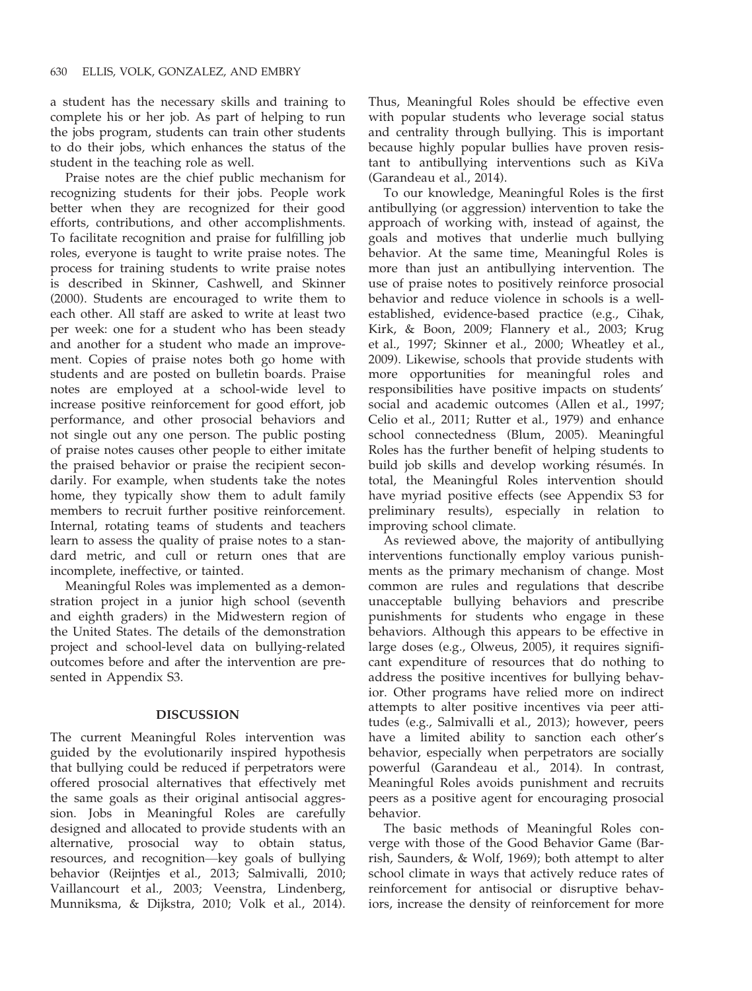a student has the necessary skills and training to complete his or her job. As part of helping to run the jobs program, students can train other students to do their jobs, which enhances the status of the student in the teaching role as well.

Praise notes are the chief public mechanism for recognizing students for their jobs. People work better when they are recognized for their good efforts, contributions, and other accomplishments. To facilitate recognition and praise for fulfilling job roles, everyone is taught to write praise notes. The process for training students to write praise notes is described in Skinner, Cashwell, and Skinner (2000). Students are encouraged to write them to each other. All staff are asked to write at least two per week: one for a student who has been steady and another for a student who made an improvement. Copies of praise notes both go home with students and are posted on bulletin boards. Praise notes are employed at a school-wide level to increase positive reinforcement for good effort, job performance, and other prosocial behaviors and not single out any one person. The public posting of praise notes causes other people to either imitate the praised behavior or praise the recipient secondarily. For example, when students take the notes home, they typically show them to adult family members to recruit further positive reinforcement. Internal, rotating teams of students and teachers learn to assess the quality of praise notes to a standard metric, and cull or return ones that are incomplete, ineffective, or tainted.

Meaningful Roles was implemented as a demonstration project in a junior high school (seventh and eighth graders) in the Midwestern region of the United States. The details of the demonstration project and school-level data on bullying-related outcomes before and after the intervention are presented in Appendix S3.

## DISCUSSION

The current Meaningful Roles intervention was guided by the evolutionarily inspired hypothesis that bullying could be reduced if perpetrators were offered prosocial alternatives that effectively met the same goals as their original antisocial aggression. Jobs in Meaningful Roles are carefully designed and allocated to provide students with an alternative, prosocial way to obtain status, resources, and recognition—key goals of bullying behavior (Reijntjes et al., 2013; Salmivalli, 2010; Vaillancourt et al., 2003; Veenstra, Lindenberg, Munniksma, & Dijkstra, 2010; Volk et al., 2014).

Thus, Meaningful Roles should be effective even with popular students who leverage social status and centrality through bullying. This is important because highly popular bullies have proven resistant to antibullying interventions such as KiVa (Garandeau et al., 2014).

To our knowledge, Meaningful Roles is the first antibullying (or aggression) intervention to take the approach of working with, instead of against, the goals and motives that underlie much bullying behavior. At the same time, Meaningful Roles is more than just an antibullying intervention. The use of praise notes to positively reinforce prosocial behavior and reduce violence in schools is a wellestablished, evidence-based practice (e.g., Cihak, Kirk, & Boon, 2009; Flannery et al., 2003; Krug et al., 1997; Skinner et al., 2000; Wheatley et al., 2009). Likewise, schools that provide students with more opportunities for meaningful roles and responsibilities have positive impacts on students' social and academic outcomes (Allen et al., 1997; Celio et al., 2011; Rutter et al., 1979) and enhance school connectedness (Blum, 2005). Meaningful Roles has the further benefit of helping students to build job skills and develop working résumés. In total, the Meaningful Roles intervention should have myriad positive effects (see Appendix S3 for preliminary results), especially in relation to improving school climate.

As reviewed above, the majority of antibullying interventions functionally employ various punishments as the primary mechanism of change. Most common are rules and regulations that describe unacceptable bullying behaviors and prescribe punishments for students who engage in these behaviors. Although this appears to be effective in large doses (e.g., Olweus, 2005), it requires significant expenditure of resources that do nothing to address the positive incentives for bullying behavior. Other programs have relied more on indirect attempts to alter positive incentives via peer attitudes (e.g., Salmivalli et al., 2013); however, peers have a limited ability to sanction each other's behavior, especially when perpetrators are socially powerful (Garandeau et al., 2014). In contrast, Meaningful Roles avoids punishment and recruits peers as a positive agent for encouraging prosocial behavior.

The basic methods of Meaningful Roles converge with those of the Good Behavior Game (Barrish, Saunders, & Wolf, 1969); both attempt to alter school climate in ways that actively reduce rates of reinforcement for antisocial or disruptive behaviors, increase the density of reinforcement for more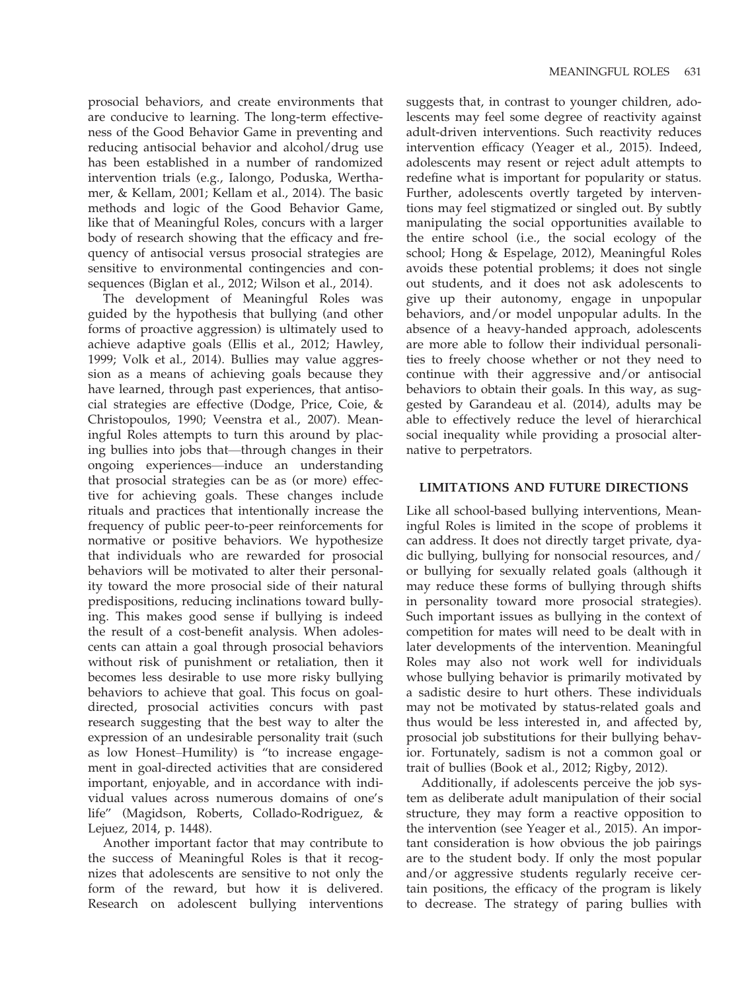prosocial behaviors, and create environments that are conducive to learning. The long-term effectiveness of the Good Behavior Game in preventing and reducing antisocial behavior and alcohol/drug use has been established in a number of randomized intervention trials (e.g., Ialongo, Poduska, Werthamer, & Kellam, 2001; Kellam et al., 2014). The basic methods and logic of the Good Behavior Game, like that of Meaningful Roles, concurs with a larger body of research showing that the efficacy and frequency of antisocial versus prosocial strategies are sensitive to environmental contingencies and consequences (Biglan et al., 2012; Wilson et al., 2014).

The development of Meaningful Roles was guided by the hypothesis that bullying (and other forms of proactive aggression) is ultimately used to achieve adaptive goals (Ellis et al., 2012; Hawley, 1999; Volk et al., 2014). Bullies may value aggression as a means of achieving goals because they have learned, through past experiences, that antisocial strategies are effective (Dodge, Price, Coie, & Christopoulos, 1990; Veenstra et al., 2007). Meaningful Roles attempts to turn this around by placing bullies into jobs that—through changes in their ongoing experiences—induce an understanding that prosocial strategies can be as (or more) effective for achieving goals. These changes include rituals and practices that intentionally increase the frequency of public peer-to-peer reinforcements for normative or positive behaviors. We hypothesize that individuals who are rewarded for prosocial behaviors will be motivated to alter their personality toward the more prosocial side of their natural predispositions, reducing inclinations toward bullying. This makes good sense if bullying is indeed the result of a cost-benefit analysis. When adolescents can attain a goal through prosocial behaviors without risk of punishment or retaliation, then it becomes less desirable to use more risky bullying behaviors to achieve that goal. This focus on goaldirected, prosocial activities concurs with past research suggesting that the best way to alter the expression of an undesirable personality trait (such as low Honest–Humility) is "to increase engagement in goal-directed activities that are considered important, enjoyable, and in accordance with individual values across numerous domains of one's life" (Magidson, Roberts, Collado-Rodriguez, & Lejuez, 2014, p. 1448).

Another important factor that may contribute to the success of Meaningful Roles is that it recognizes that adolescents are sensitive to not only the form of the reward, but how it is delivered. Research on adolescent bullying interventions

suggests that, in contrast to younger children, adolescents may feel some degree of reactivity against adult-driven interventions. Such reactivity reduces intervention efficacy (Yeager et al., 2015). Indeed, adolescents may resent or reject adult attempts to redefine what is important for popularity or status. Further, adolescents overtly targeted by interventions may feel stigmatized or singled out. By subtly manipulating the social opportunities available to the entire school (i.e., the social ecology of the school; Hong & Espelage, 2012), Meaningful Roles avoids these potential problems; it does not single out students, and it does not ask adolescents to give up their autonomy, engage in unpopular behaviors, and/or model unpopular adults. In the absence of a heavy-handed approach, adolescents are more able to follow their individual personalities to freely choose whether or not they need to continue with their aggressive and/or antisocial behaviors to obtain their goals. In this way, as suggested by Garandeau et al. (2014), adults may be able to effectively reduce the level of hierarchical social inequality while providing a prosocial alternative to perpetrators.

#### LIMITATIONS AND FUTURE DIRECTIONS

Like all school-based bullying interventions, Meaningful Roles is limited in the scope of problems it can address. It does not directly target private, dyadic bullying, bullying for nonsocial resources, and/ or bullying for sexually related goals (although it may reduce these forms of bullying through shifts in personality toward more prosocial strategies). Such important issues as bullying in the context of competition for mates will need to be dealt with in later developments of the intervention. Meaningful Roles may also not work well for individuals whose bullying behavior is primarily motivated by a sadistic desire to hurt others. These individuals may not be motivated by status-related goals and thus would be less interested in, and affected by, prosocial job substitutions for their bullying behavior. Fortunately, sadism is not a common goal or trait of bullies (Book et al., 2012; Rigby, 2012).

Additionally, if adolescents perceive the job system as deliberate adult manipulation of their social structure, they may form a reactive opposition to the intervention (see Yeager et al., 2015). An important consideration is how obvious the job pairings are to the student body. If only the most popular and/or aggressive students regularly receive certain positions, the efficacy of the program is likely to decrease. The strategy of paring bullies with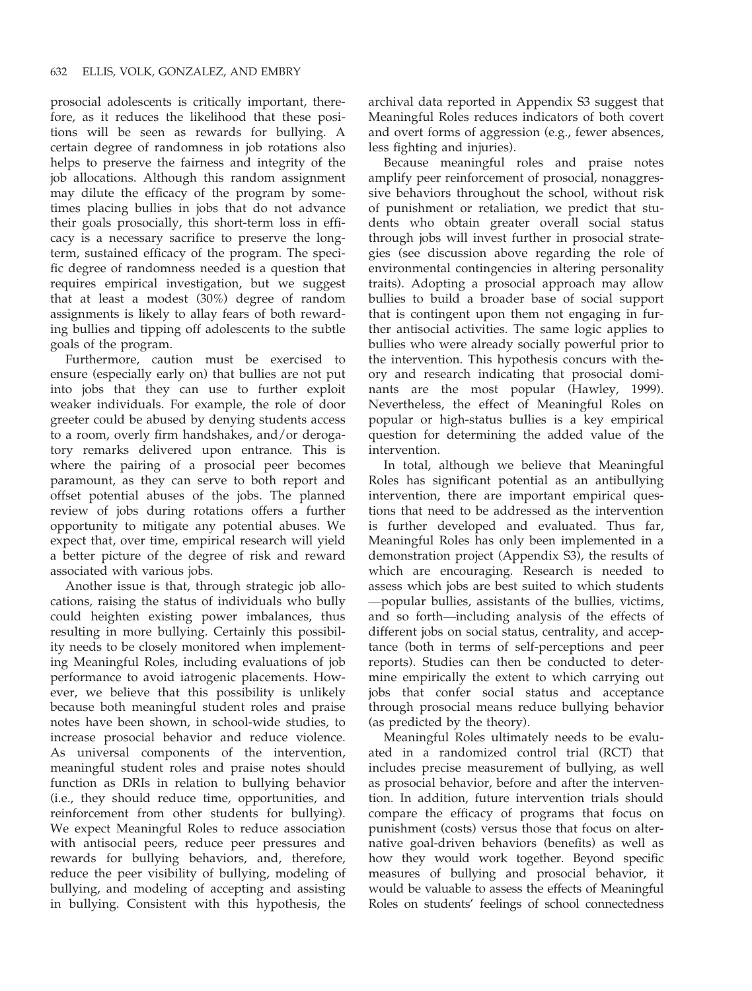prosocial adolescents is critically important, therefore, as it reduces the likelihood that these positions will be seen as rewards for bullying. A certain degree of randomness in job rotations also helps to preserve the fairness and integrity of the job allocations. Although this random assignment may dilute the efficacy of the program by sometimes placing bullies in jobs that do not advance their goals prosocially, this short-term loss in efficacy is a necessary sacrifice to preserve the longterm, sustained efficacy of the program. The specific degree of randomness needed is a question that requires empirical investigation, but we suggest that at least a modest (30%) degree of random assignments is likely to allay fears of both rewarding bullies and tipping off adolescents to the subtle goals of the program.

Furthermore, caution must be exercised to ensure (especially early on) that bullies are not put into jobs that they can use to further exploit weaker individuals. For example, the role of door greeter could be abused by denying students access to a room, overly firm handshakes, and/or derogatory remarks delivered upon entrance. This is where the pairing of a prosocial peer becomes paramount, as they can serve to both report and offset potential abuses of the jobs. The planned review of jobs during rotations offers a further opportunity to mitigate any potential abuses. We expect that, over time, empirical research will yield a better picture of the degree of risk and reward associated with various jobs.

Another issue is that, through strategic job allocations, raising the status of individuals who bully could heighten existing power imbalances, thus resulting in more bullying. Certainly this possibility needs to be closely monitored when implementing Meaningful Roles, including evaluations of job performance to avoid iatrogenic placements. However, we believe that this possibility is unlikely because both meaningful student roles and praise notes have been shown, in school-wide studies, to increase prosocial behavior and reduce violence. As universal components of the intervention, meaningful student roles and praise notes should function as DRIs in relation to bullying behavior (i.e., they should reduce time, opportunities, and reinforcement from other students for bullying). We expect Meaningful Roles to reduce association with antisocial peers, reduce peer pressures and rewards for bullying behaviors, and, therefore, reduce the peer visibility of bullying, modeling of bullying, and modeling of accepting and assisting in bullying. Consistent with this hypothesis, the

archival data reported in Appendix S3 suggest that Meaningful Roles reduces indicators of both covert and overt forms of aggression (e.g., fewer absences, less fighting and injuries).

Because meaningful roles and praise notes amplify peer reinforcement of prosocial, nonaggressive behaviors throughout the school, without risk of punishment or retaliation, we predict that students who obtain greater overall social status through jobs will invest further in prosocial strategies (see discussion above regarding the role of environmental contingencies in altering personality traits). Adopting a prosocial approach may allow bullies to build a broader base of social support that is contingent upon them not engaging in further antisocial activities. The same logic applies to bullies who were already socially powerful prior to the intervention. This hypothesis concurs with theory and research indicating that prosocial dominants are the most popular (Hawley, 1999). Nevertheless, the effect of Meaningful Roles on popular or high-status bullies is a key empirical question for determining the added value of the intervention.

In total, although we believe that Meaningful Roles has significant potential as an antibullying intervention, there are important empirical questions that need to be addressed as the intervention is further developed and evaluated. Thus far, Meaningful Roles has only been implemented in a demonstration project (Appendix S3), the results of which are encouraging. Research is needed to assess which jobs are best suited to which students —popular bullies, assistants of the bullies, victims, and so forth—including analysis of the effects of different jobs on social status, centrality, and acceptance (both in terms of self-perceptions and peer reports). Studies can then be conducted to determine empirically the extent to which carrying out jobs that confer social status and acceptance through prosocial means reduce bullying behavior (as predicted by the theory).

Meaningful Roles ultimately needs to be evaluated in a randomized control trial (RCT) that includes precise measurement of bullying, as well as prosocial behavior, before and after the intervention. In addition, future intervention trials should compare the efficacy of programs that focus on punishment (costs) versus those that focus on alternative goal-driven behaviors (benefits) as well as how they would work together. Beyond specific measures of bullying and prosocial behavior, it would be valuable to assess the effects of Meaningful Roles on students' feelings of school connectedness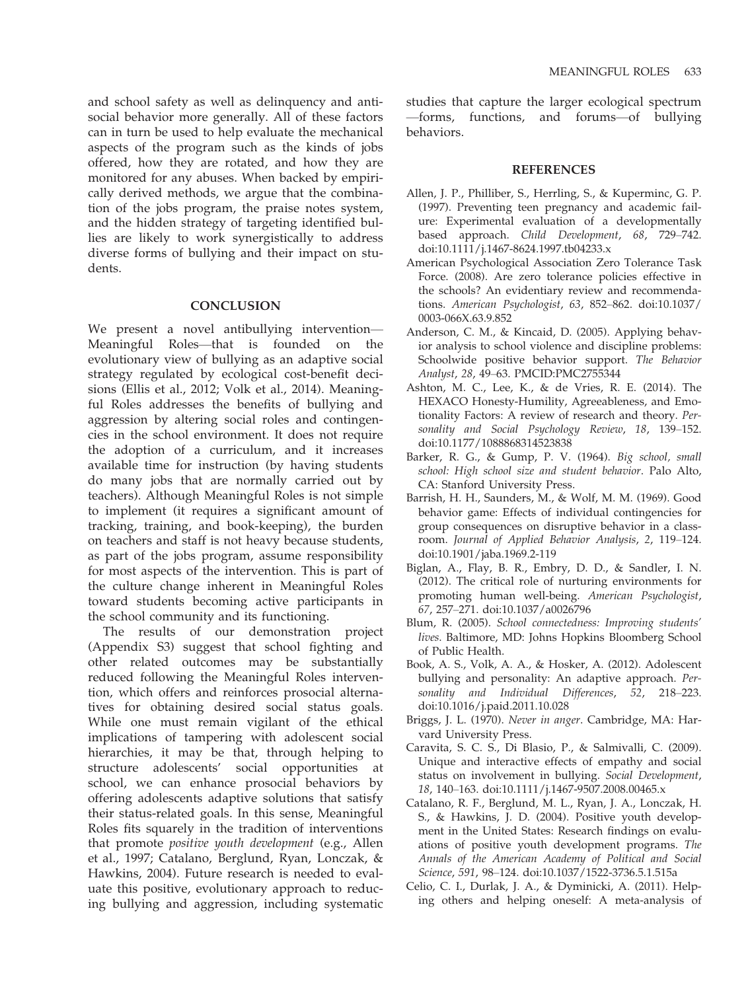and school safety as well as delinquency and antisocial behavior more generally. All of these factors can in turn be used to help evaluate the mechanical aspects of the program such as the kinds of jobs offered, how they are rotated, and how they are monitored for any abuses. When backed by empirically derived methods, we argue that the combination of the jobs program, the praise notes system, and the hidden strategy of targeting identified bullies are likely to work synergistically to address diverse forms of bullying and their impact on students.

#### **CONCLUSION**

We present a novel antibullying intervention— Meaningful Roles—that is founded on the evolutionary view of bullying as an adaptive social strategy regulated by ecological cost-benefit decisions (Ellis et al., 2012; Volk et al., 2014). Meaningful Roles addresses the benefits of bullying and aggression by altering social roles and contingencies in the school environment. It does not require the adoption of a curriculum, and it increases available time for instruction (by having students do many jobs that are normally carried out by teachers). Although Meaningful Roles is not simple to implement (it requires a significant amount of tracking, training, and book-keeping), the burden on teachers and staff is not heavy because students, as part of the jobs program, assume responsibility for most aspects of the intervention. This is part of the culture change inherent in Meaningful Roles toward students becoming active participants in the school community and its functioning.

The results of our demonstration project (Appendix S3) suggest that school fighting and other related outcomes may be substantially reduced following the Meaningful Roles intervention, which offers and reinforces prosocial alternatives for obtaining desired social status goals. While one must remain vigilant of the ethical implications of tampering with adolescent social hierarchies, it may be that, through helping to structure adolescents' social opportunities at school, we can enhance prosocial behaviors by offering adolescents adaptive solutions that satisfy their status-related goals. In this sense, Meaningful Roles fits squarely in the tradition of interventions that promote positive youth development (e.g., Allen et al., 1997; Catalano, Berglund, Ryan, Lonczak, & Hawkins, 2004). Future research is needed to evaluate this positive, evolutionary approach to reducing bullying and aggression, including systematic

studies that capture the larger ecological spectrum —forms, functions, and forums—of bullying behaviors.

#### REFERENCES

- Allen, J. P., Philliber, S., Herrling, S., & Kuperminc, G. P. (1997). Preventing teen pregnancy and academic failure: Experimental evaluation of a developmentally based approach. Child Development, 68, 729–742. doi:[10.1111/j.1467-8624.1997.tb04233.x](http://dx.doi.org/10.1111/j.1467-8624.1997.tb04233.x)
- American Psychological Association Zero Tolerance Task Force. (2008). Are zero tolerance policies effective in the schools? An evidentiary review and recommendations. American Psychologist, 63, 852–862. doi:[10.1037/](http://dx.doi.org/10.1037/0003-066X.63.9.852) [0003-066X.63.9.852](http://dx.doi.org/10.1037/0003-066X.63.9.852)
- Anderson, C. M., & Kincaid, D. (2005). Applying behavior analysis to school violence and discipline problems: Schoolwide positive behavior support. The Behavior Analyst, 28, 49–63. PMCID:PMC2755344
- Ashton, M. C., Lee, K., & de Vries, R. E. (2014). The HEXACO Honesty-Humility, Agreeableness, and Emotionality Factors: A review of research and theory. Personality and Social Psychology Review, 18, 139–152. doi:[10.1177/1088868314523838](http://dx.doi.org/10.1177/1088868314523838)
- Barker, R. G., & Gump, P. V. (1964). Big school, small school: High school size and student behavior. Palo Alto, CA: Stanford University Press.
- Barrish, H. H., Saunders, M., & Wolf, M. M. (1969). Good behavior game: Effects of individual contingencies for group consequences on disruptive behavior in a classroom. Journal of Applied Behavior Analysis, 2, 119–124. doi:[10.1901/jaba.1969.2-119](http://dx.doi.org/10.1901/jaba.1969.2-119)
- Biglan, A., Flay, B. R., Embry, D. D., & Sandler, I. N. (2012). The critical role of nurturing environments for promoting human well-being. American Psychologist, 67, 257–271. doi[:10.1037/a0026796](http://dx.doi.org/10.1037/a0026796)
- Blum, R. (2005). School connectedness: Improving students' lives. Baltimore, MD: Johns Hopkins Bloomberg School of Public Health.
- Book, A. S., Volk, A. A., & Hosker, A. (2012). Adolescent bullying and personality: An adaptive approach. Personality and Individual Differences, 52, 218–223. doi:[10.1016/j.paid.2011.10.028](http://dx.doi.org/10.1016/j.paid.2011.10.028)
- Briggs, J. L. (1970). Never in anger. Cambridge, MA: Harvard University Press.
- Caravita, S. C. S., Di Blasio, P., & Salmivalli, C. (2009). Unique and interactive effects of empathy and social status on involvement in bullying. Social Development, 18, 140–163. doi[:10.1111/j.1467-9507.2008.00465.x](http://dx.doi.org/10.1111/j.1467-9507.2008.00465.x)
- Catalano, R. F., Berglund, M. L., Ryan, J. A., Lonczak, H. S., & Hawkins, J. D. (2004). Positive youth development in the United States: Research findings on evaluations of positive youth development programs. The Annals of the American Academy of Political and Social Science, 591, 98–124. doi[:10.1037/1522-3736.5.1.515a](http://dx.doi.org/10.1037/1522-3736.5.1.515a)
- Celio, C. I., Durlak, J. A., & Dyminicki, A. (2011). Helping others and helping oneself: A meta-analysis of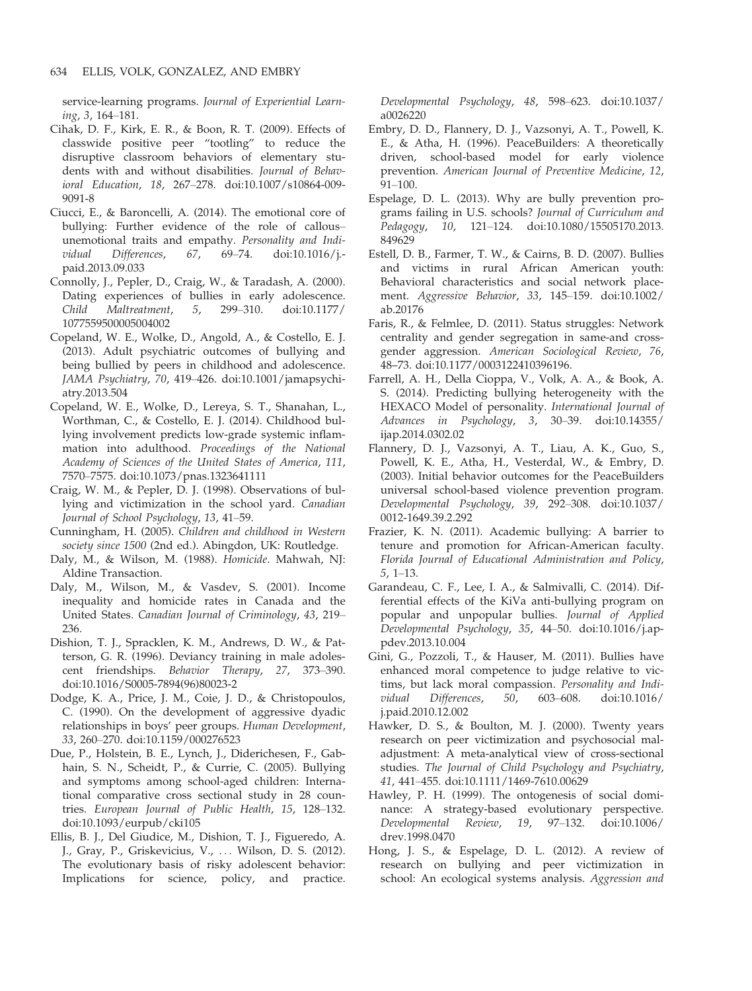service-learning programs. Journal of Experiential Learning, 3, 164–181.

- Cihak, D. F., Kirk, E. R., & Boon, R. T. (2009). Effects of classwide positive peer "tootling" to reduce the disruptive classroom behaviors of elementary students with and without disabilities. Journal of Behavioral Education, 18, 267–278. doi:[10.1007/s10864-009-](http://dx.doi.org/10.1007/s10864-009-9091-8) [9091-8](http://dx.doi.org/10.1007/s10864-009-9091-8)
- Ciucci, E., & Baroncelli, A. (2014). The emotional core of bullying: Further evidence of the role of callous– unemotional traits and empathy. Personality and Individual Differences, 67, 69–74. doi[:10.1016/j.](http://dx.doi.org/10.1016/j.paid.2013.09.033) [paid.2013.09.033](http://dx.doi.org/10.1016/j.paid.2013.09.033)
- Connolly, J., Pepler, D., Craig, W., & Taradash, A. (2000). Dating experiences of bullies in early adolescence. Child Maltreatment, 5, 299–310. doi[:10.1177/](http://dx.doi.org/10.1177/1077559500005004002) [1077559500005004002](http://dx.doi.org/10.1177/1077559500005004002)
- Copeland, W. E., Wolke, D., Angold, A., & Costello, E. J. (2013). Adult psychiatric outcomes of bullying and being bullied by peers in childhood and adolescence. JAMA Psychiatry, 70, 419–426. doi[:10.1001/jamapsychi](http://dx.doi.org/10.1001/jamapsychiatry.2013.504)[atry.2013.504](http://dx.doi.org/10.1001/jamapsychiatry.2013.504)
- Copeland, W. E., Wolke, D., Lereya, S. T., Shanahan, L., Worthman, C., & Costello, E. J. (2014). Childhood bullying involvement predicts low-grade systemic inflammation into adulthood. Proceedings of the National Academy of Sciences of the United States of America, 111, 7570–7575. doi:[10.1073/pnas.1323641111](http://dx.doi.org/10.1073/pnas.1323641111)
- Craig, W. M., & Pepler, D. J. (1998). Observations of bullying and victimization in the school yard. Canadian Journal of School Psychology, 13, 41–59.
- Cunningham, H. (2005). Children and childhood in Western society since 1500 (2nd ed.). Abingdon, UK: Routledge.
- Daly, M., & Wilson, M. (1988). Homicide. Mahwah, NJ: Aldine Transaction.
- Daly, M., Wilson, M., & Vasdev, S. (2001). Income inequality and homicide rates in Canada and the United States. Canadian Journal of Criminology, 43, 219– 236.
- Dishion, T. J., Spracklen, K. M., Andrews, D. W., & Patterson, G. R. (1996). Deviancy training in male adolescent friendships. Behavior Therapy, 27, 373–390. doi[:10.1016/S0005-7894\(96\)80023-2](http://dx.doi.org/10.1016/S0005-7894(96)80023-2)
- Dodge, K. A., Price, J. M., Coie, J. D., & Christopoulos, C. (1990). On the development of aggressive dyadic relationships in boys' peer groups. Human Development, 33, 260–270. doi[:10.1159/000276523](http://dx.doi.org/10.1159/000276523)
- Due, P., Holstein, B. E., Lynch, J., Diderichesen, F., Gabhain, S. N., Scheidt, P., & Currie, C. (2005). Bullying and symptoms among school-aged children: International comparative cross sectional study in 28 countries. European Journal of Public Health, 15, 128–132. doi[:10.1093/eurpub/cki105](http://dx.doi.org/10.1093/eurpub/cki105)
- Ellis, B. J., Del Giudice, M., Dishion, T. J., Figueredo, A. J., Gray, P., Griskevicius, V., ... Wilson, D. S. (2012). The evolutionary basis of risky adolescent behavior: Implications for science, policy, and practice.

Developmental Psychology, 48, 598–623. doi:[10.1037/](http://dx.doi.org/10.1037/a0026220) [a0026220](http://dx.doi.org/10.1037/a0026220)

- Embry, D. D., Flannery, D. J., Vazsonyi, A. T., Powell, K. E., & Atha, H. (1996). PeaceBuilders: A theoretically driven, school-based model for early violence prevention. American Journal of Preventive Medicine, 12, 91–100.
- Espelage, D. L. (2013). Why are bully prevention programs failing in U.S. schools? Journal of Curriculum and Pedagogy, 10, 121-124. doi:[10.1080/15505170.2013.](http://dx.doi.org/10.1080/15505170.2013.849629) [849629](http://dx.doi.org/10.1080/15505170.2013.849629)
- Estell, D. B., Farmer, T. W., & Cairns, B. D. (2007). Bullies and victims in rural African American youth: Behavioral characteristics and social network placement. Aggressive Behavior, 33, 145–159. doi:[10.1002/](http://dx.doi.org/10.1002/ab.20176) [ab.20176](http://dx.doi.org/10.1002/ab.20176)
- Faris, R., & Felmlee, D. (2011). Status struggles: Network centrality and gender segregation in same-and crossgender aggression. American Sociological Review, 76, 48–73. doi:[10.1177/0003122410396196.](http://dx.doi.org/10.1177/0003122410396196)
- Farrell, A. H., Della Cioppa, V., Volk, A. A., & Book, A. S. (2014). Predicting bullying heterogeneity with the HEXACO Model of personality. International Journal of Advances in Psychology, 3, 30–39. doi[:10.14355/](http://dx.doi.org/10.14355/ijap.2014.0302.02) [ijap.2014.0302.02](http://dx.doi.org/10.14355/ijap.2014.0302.02)
- Flannery, D. J., Vazsonyi, A. T., Liau, A. K., Guo, S., Powell, K. E., Atha, H., Vesterdal, W., & Embry, D. (2003). Initial behavior outcomes for the PeaceBuilders universal school-based violence prevention program. Developmental Psychology, 39, 292–308. doi:[10.1037/](http://dx.doi.org/10.1037/0012-1649.39.2.292) [0012-1649.39.2.292](http://dx.doi.org/10.1037/0012-1649.39.2.292)
- Frazier, K. N. (2011). Academic bullying: A barrier to tenure and promotion for African-American faculty. Florida Journal of Educational Administration and Policy, 5, 1–13.
- Garandeau, C. F., Lee, I. A., & Salmivalli, C. (2014). Differential effects of the KiVa anti-bullying program on popular and unpopular bullies. Journal of Applied Developmental Psychology, 35, 44–50. doi:[10.1016/j.ap](http://dx.doi.org/10.1016/j.appdev.2013.10.004)[pdev.2013.10.004](http://dx.doi.org/10.1016/j.appdev.2013.10.004)
- Gini, G., Pozzoli, T., & Hauser, M. (2011). Bullies have enhanced moral competence to judge relative to victims, but lack moral compassion. Personality and Indi-<br>vidual Differences, 50, 603–608. doi:10.1016/ vidual Differences, 50, 603–608. doi:[10.1016/](http://dx.doi.org/10.1016/j.paid.2010.12.002) [j.paid.2010.12.002](http://dx.doi.org/10.1016/j.paid.2010.12.002)
- Hawker, D. S., & Boulton, M. J. (2000). Twenty years research on peer victimization and psychosocial maladjustment: A meta-analytical view of cross-sectional studies. The Journal of Child Psychology and Psychiatry, 41, 441–455. doi:[10.1111/1469-7610.00629](http://dx.doi.org/10.1111/1469-7610.00629)
- Hawley, P. H. (1999). The ontogenesis of social dominance: A strategy-based evolutionary perspective. Developmental Review, 19, 97–132. doi:[10.1006/](http://dx.doi.org/10.1006/drev.1998.0470) [drev.1998.0470](http://dx.doi.org/10.1006/drev.1998.0470)
- Hong, J. S., & Espelage, D. L. (2012). A review of research on bullying and peer victimization in school: An ecological systems analysis. Aggression and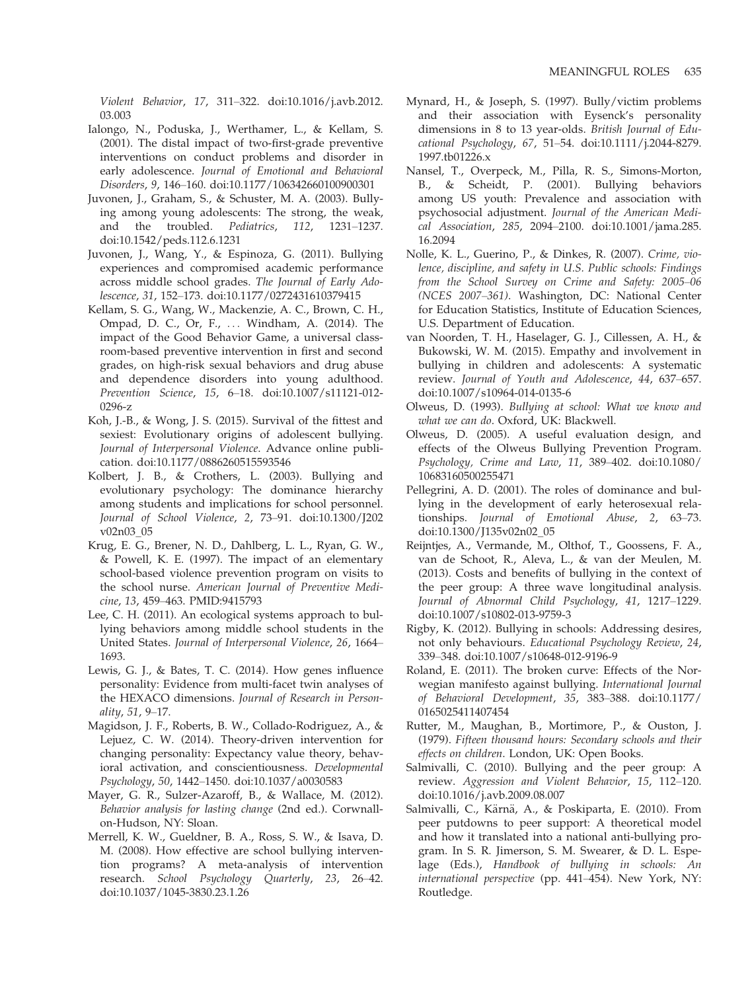Violent Behavior, 17, 311–322. doi:[10.1016/j.avb.2012.](http://dx.doi.org/10.1016/j.avb.2012.03.003) [03.003](http://dx.doi.org/10.1016/j.avb.2012.03.003)

- Ialongo, N., Poduska, J., Werthamer, L., & Kellam, S. (2001). The distal impact of two-first-grade preventive interventions on conduct problems and disorder in early adolescence. Journal of Emotional and Behavioral Disorders, 9, 146–160. doi:[10.1177/106342660100900301](http://dx.doi.org/10.1177/106342660100900301)
- Juvonen, J., Graham, S., & Schuster, M. A. (2003). Bullying among young adolescents: The strong, the weak, and the troubled. Pediatrics, 112, 1231–1237. doi[:10.1542/peds.112.6.1231](http://dx.doi.org/10.1542/peds.112.6.1231)
- Juvonen, J., Wang, Y., & Espinoza, G. (2011). Bullying experiences and compromised academic performance across middle school grades. The Journal of Early Adolescence, 31, 152–173. doi:[10.1177/0272431610379415](http://dx.doi.org/10.1177/0272431610379415)
- Kellam, S. G., Wang, W., Mackenzie, A. C., Brown, C. H., Ompad, D. C., Or, F., ... Windham, A. (2014). The impact of the Good Behavior Game, a universal classroom-based preventive intervention in first and second grades, on high-risk sexual behaviors and drug abuse and dependence disorders into young adulthood. Prevention Science, 15, 6–18. doi:[10.1007/s11121-012-](http://dx.doi.org/10.1007/s11121-012-0296-z) [0296-z](http://dx.doi.org/10.1007/s11121-012-0296-z)
- Koh, J.-B., & Wong, J. S. (2015). Survival of the fittest and sexiest: Evolutionary origins of adolescent bullying. Journal of Interpersonal Violence. Advance online publication. doi[:10.1177/0886260515593546](http://dx.doi.org/10.1177/0886260515593546)
- Kolbert, J. B., & Crothers, L. (2003). Bullying and evolutionary psychology: The dominance hierarchy among students and implications for school personnel. Journal of School Violence, 2, 73–91. doi:[10.1300/J202](http://dx.doi.org/10.1300/J202v02n03_05) [v02n03\\_05](http://dx.doi.org/10.1300/J202v02n03_05)
- Krug, E. G., Brener, N. D., Dahlberg, L. L., Ryan, G. W., & Powell, K. E. (1997). The impact of an elementary school-based violence prevention program on visits to the school nurse. American Journal of Preventive Medicine, 13, 459–463. PMID:9415793
- Lee, C. H. (2011). An ecological systems approach to bullying behaviors among middle school students in the United States. Journal of Interpersonal Violence, 26, 1664– 1693.
- Lewis, G. J., & Bates, T. C. (2014). How genes influence personality: Evidence from multi-facet twin analyses of the HEXACO dimensions. Journal of Research in Personality, 51, 9–17.
- Magidson, J. F., Roberts, B. W., Collado-Rodriguez, A., & Lejuez, C. W. (2014). Theory-driven intervention for changing personality: Expectancy value theory, behavioral activation, and conscientiousness. Developmental Psychology, 50, 1442–1450. doi[:10.1037/a0030583](http://dx.doi.org/10.1037/a0030583)
- Mayer, G. R., Sulzer-Azaroff, B., & Wallace, M. (2012). Behavior analysis for lasting change (2nd ed.). Corwnallon-Hudson, NY: Sloan.
- Merrell, K. W., Gueldner, B. A., Ross, S. W., & Isava, D. M. (2008). How effective are school bullying intervention programs? A meta-analysis of intervention research. School Psychology Quarterly, 23, 26–42. doi[:10.1037/1045-3830.23.1.26](http://dx.doi.org/10.1037/1045-3830.23.1.26)
- Mynard, H., & Joseph, S. (1997). Bully/victim problems and their association with Eysenck's personality dimensions in 8 to 13 year-olds. British Journal of Educational Psychology, 67, 51–54. doi[:10.1111/j.2044-8279.](http://dx.doi.org/10.1111/j.2044-8279.1997.tb01226.x) [1997.tb01226.x](http://dx.doi.org/10.1111/j.2044-8279.1997.tb01226.x)
- Nansel, T., Overpeck, M., Pilla, R. S., Simons-Morton, B., & Scheidt, P. (2001). Bullying behaviors among US youth: Prevalence and association with psychosocial adjustment. Journal of the American Medical Association, 285, 2094–2100. doi:[10.1001/jama.285.](http://dx.doi.org/10.1001/jama.285.16.2094) [16.2094](http://dx.doi.org/10.1001/jama.285.16.2094)
- Nolle, K. L., Guerino, P., & Dinkes, R. (2007). Crime, violence, discipline, and safety in U.S. Public schools: Findings from the School Survey on Crime and Safety: 2005–06 (NCES 2007–361). Washington, DC: National Center for Education Statistics, Institute of Education Sciences, U.S. Department of Education.
- van Noorden, T. H., Haselager, G. J., Cillessen, A. H., & Bukowski, W. M. (2015). Empathy and involvement in bullying in children and adolescents: A systematic review. Journal of Youth and Adolescence, 44, 637–657. doi:[10.1007/s10964-014-0135-6](http://dx.doi.org/10.1007/s10964-014-0135-6)
- Olweus, D. (1993). Bullying at school: What we know and what we can do. Oxford, UK: Blackwell.
- Olweus, D. (2005). A useful evaluation design, and effects of the Olweus Bullying Prevention Program. Psychology, Crime and Law, 11, 389–402. doi:[10.1080/](http://dx.doi.org/10.1080/10683160500255471) [10683160500255471](http://dx.doi.org/10.1080/10683160500255471)
- Pellegrini, A. D. (2001). The roles of dominance and bullying in the development of early heterosexual relationships. Journal of Emotional Abuse, 2, 63–73. doi:[10.1300/J135v02n02\\_05](http://dx.doi.org/10.1300/J135v02n02_05)
- Reijntjes, A., Vermande, M., Olthof, T., Goossens, F. A., van de Schoot, R., Aleva, L., & van der Meulen, M. (2013). Costs and benefits of bullying in the context of the peer group: A three wave longitudinal analysis. Journal of Abnormal Child Psychology, 41, 1217–1229. doi:[10.1007/s10802-013-9759-3](http://dx.doi.org/10.1007/s10802-013-9759-3)
- Rigby, K. (2012). Bullying in schools: Addressing desires, not only behaviours. Educational Psychology Review, 24, 339–348. doi[:10.1007/s10648-012-9196-9](http://dx.doi.org/10.1007/s10648-012-9196-9)
- Roland, E. (2011). The broken curve: Effects of the Norwegian manifesto against bullying. International Journal of Behavioral Development, 35, 383–388. doi:[10.1177/](http://dx.doi.org/10.1177/0165025411407454) [0165025411407454](http://dx.doi.org/10.1177/0165025411407454)
- Rutter, M., Maughan, B., Mortimore, P., & Ouston, J. (1979). Fifteen thousand hours: Secondary schools and their effects on children. London, UK: Open Books.
- Salmivalli, C. (2010). Bullying and the peer group: A review. Aggression and Violent Behavior, 15, 112–120. doi:[10.1016/j.avb.2009.08.007](http://dx.doi.org/10.1016/j.avb.2009.08.007)
- Salmivalli, C., Kärnä, A., & Poskiparta, E. (2010). From peer putdowns to peer support: A theoretical model and how it translated into a national anti-bullying program. In S. R. Jimerson, S. M. Swearer, & D. L. Espelage (Eds.), Handbook of bullying in schools: An international perspective (pp. 441–454). New York, NY: Routledge.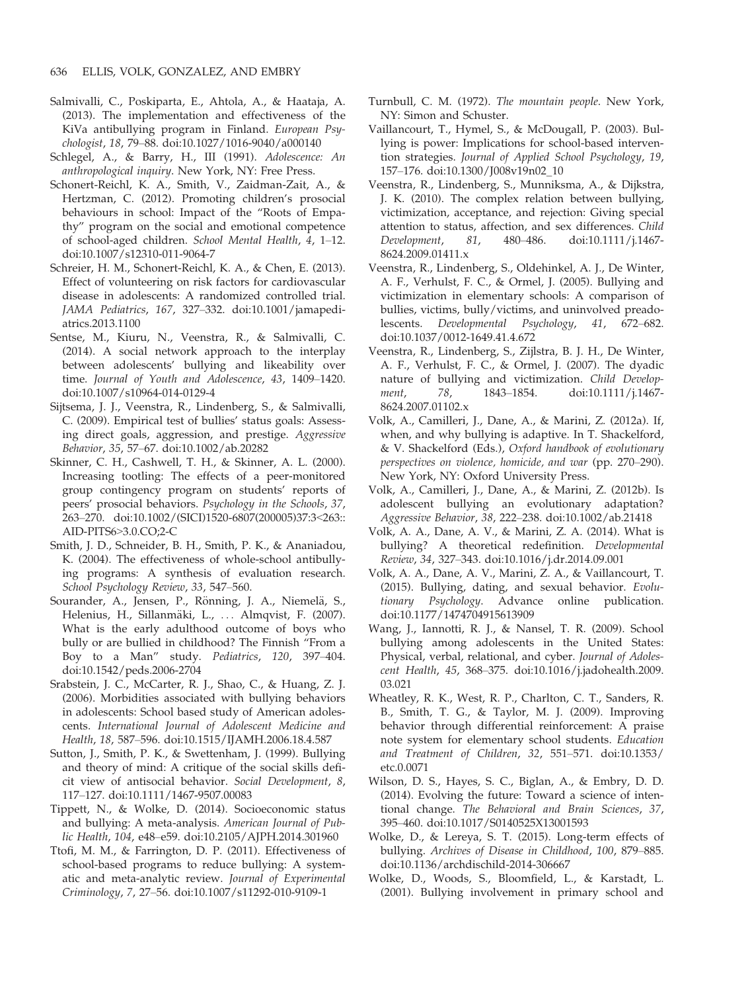- Salmivalli, C., Poskiparta, E., Ahtola, A., & Haataja, A. (2013). The implementation and effectiveness of the KiVa antibullying program in Finland. European Psychologist, 18, 79–88. doi:[10.1027/1016-9040/a000140](http://dx.doi.org/10.1027/1016-9040/a000140)
- Schlegel, A., & Barry, H., III (1991). Adolescence: An anthropological inquiry. New York, NY: Free Press.
- Schonert-Reichl, K. A., Smith, V., Zaidman-Zait, A., & Hertzman, C. (2012). Promoting children's prosocial behaviours in school: Impact of the "Roots of Empathy" program on the social and emotional competence of school-aged children. School Mental Health, 4, 1–12. doi[:10.1007/s12310-011-9064-7](http://dx.doi.org/10.1007/s12310-011-9064-7)
- Schreier, H. M., Schonert-Reichl, K. A., & Chen, E. (2013). Effect of volunteering on risk factors for cardiovascular disease in adolescents: A randomized controlled trial. JAMA Pediatrics, 167, 327–332. doi:[10.1001/jamapedi](http://dx.doi.org/10.1001/jamapediatrics.2013.1100)[atrics.2013.1100](http://dx.doi.org/10.1001/jamapediatrics.2013.1100)
- Sentse, M., Kiuru, N., Veenstra, R., & Salmivalli, C. (2014). A social network approach to the interplay between adolescents' bullying and likeability over time. Journal of Youth and Adolescence, 43, 1409–1420. doi[:10.1007/s10964-014-0129-4](http://dx.doi.org/10.1007/s10964-014-0129-4)
- Sijtsema, J. J., Veenstra, R., Lindenberg, S., & Salmivalli, C. (2009). Empirical test of bullies' status goals: Assessing direct goals, aggression, and prestige. Aggressive Behavior, 35, 57–67. doi[:10.1002/ab.20282](http://dx.doi.org/10.1002/ab.20282)
- Skinner, C. H., Cashwell, T. H., & Skinner, A. L. (2000). Increasing tootling: The effects of a peer-monitored group contingency program on students' reports of peers' prosocial behaviors. Psychology in the Schools, 37, 263–270. doi[:10.1002/\(SICI\)1520-6807\(200005\)37:3](http://dx.doi.org/10.1002/(SICI)1520-6807(200005)37:3<263::AID-PITS6>3.0.CO;2-C)<263:: [AID-PITS6](http://dx.doi.org/10.1002/(SICI)1520-6807(200005)37:3<263::AID-PITS6>3.0.CO;2-C)>3.0.CO;2-C
- Smith, J. D., Schneider, B. H., Smith, P. K., & Ananiadou, K. (2004). The effectiveness of whole-school antibullying programs: A synthesis of evaluation research. School Psychology Review, 33, 547–560.
- Sourander, A., Jensen, P., Rönning, J. A., Niemelä, S., Helenius, H., Sillanmäki, L., ... Almqvist, F. (2007). What is the early adulthood outcome of boys who bully or are bullied in childhood? The Finnish "From a Boy to a Man" study. Pediatrics, 120, 397–404. doi[:10.1542/peds.2006-2704](http://dx.doi.org/10.1542/peds.2006-2704)
- Srabstein, J. C., McCarter, R. J., Shao, C., & Huang, Z. J. (2006). Morbidities associated with bullying behaviors in adolescents: School based study of American adolescents. International Journal of Adolescent Medicine and Health, 18, 587–596. doi:[10.1515/IJAMH.2006.18.4.587](http://dx.doi.org/10.1515/IJAMH.2006.18.4.587)
- Sutton, J., Smith, P. K., & Swettenham, J. (1999). Bullying and theory of mind: A critique of the social skills deficit view of antisocial behavior. Social Development, 8, 117–127. doi:[10.1111/1467-9507.00083](http://dx.doi.org/10.1111/1467-9507.00083)
- Tippett, N., & Wolke, D. (2014). Socioeconomic status and bullying: A meta-analysis. American Journal of Public Health, 104, e48–e59. doi:[10.2105/AJPH.2014.301960](http://dx.doi.org/10.2105/AJPH.2014.301960)
- Ttofi, M. M., & Farrington, D. P. (2011). Effectiveness of school-based programs to reduce bullying: A systematic and meta-analytic review. Journal of Experimental Criminology, 7, 27–56. doi:[10.1007/s11292-010-9109-1](http://dx.doi.org/10.1007/s11292-010-9109-1)
- Turnbull, C. M. (1972). The mountain people. New York, NY: Simon and Schuster.
- Vaillancourt, T., Hymel, S., & McDougall, P. (2003). Bullying is power: Implications for school-based intervention strategies. Journal of Applied School Psychology, 19, 157–176. doi[:10.1300/J008v19n02\\_10](http://dx.doi.org/10.1300/J008v19n02_10)
- Veenstra, R., Lindenberg, S., Munniksma, A., & Dijkstra, J. K. (2010). The complex relation between bullying, victimization, acceptance, and rejection: Giving special attention to status, affection, and sex differences. Child Development, 81, 480–486. doi:[10.1111/j.1467-](http://dx.doi.org/10.1111/j.1467-8624.2009.01411.x) [8624.2009.01411.x](http://dx.doi.org/10.1111/j.1467-8624.2009.01411.x)
- Veenstra, R., Lindenberg, S., Oldehinkel, A. J., De Winter, A. F., Verhulst, F. C., & Ormel, J. (2005). Bullying and victimization in elementary schools: A comparison of bullies, victims, bully/victims, and uninvolved preadolescents. Developmental Psychology, 41, 672–682. doi:[10.1037/0012-1649.41.4.672](http://dx.doi.org/10.1037/0012-1649.41.4.672)
- Veenstra, R., Lindenberg, S., Zijlstra, B. J. H., De Winter, A. F., Verhulst, F. C., & Ormel, J. (2007). The dyadic nature of bullying and victimization. Child Develop-ment, 78, 1843-1854. doi:[10.1111/j.1467-](http://dx.doi.org/10.1111/j.1467-8624.2007.01102.x) [8624.2007.01102.x](http://dx.doi.org/10.1111/j.1467-8624.2007.01102.x)
- Volk, A., Camilleri, J., Dane, A., & Marini, Z. (2012a). If, when, and why bullying is adaptive. In T. Shackelford, & V. Shackelford (Eds.), Oxford handbook of evolutionary perspectives on violence, homicide, and war (pp. 270–290). New York, NY: Oxford University Press.
- Volk, A., Camilleri, J., Dane, A., & Marini, Z. (2012b). Is adolescent bullying an evolutionary adaptation? Aggressive Behavior, 38, 222–238. doi[:10.1002/ab.21418](http://dx.doi.org/10.1002/ab.21418)
- Volk, A. A., Dane, A. V., & Marini, Z. A. (2014). What is bullying? A theoretical redefinition. Developmental Review, 34, 327–343. doi[:10.1016/j.dr.2014.09.001](http://dx.doi.org/10.1016/j.dr.2014.09.001)
- Volk, A. A., Dane, A. V., Marini, Z. A., & Vaillancourt, T. (2015). Bullying, dating, and sexual behavior. Evolutionary Psychology. Advance online publication. doi:[10.1177/1474704915613909](http://dx.doi.org/10.1177/1474704915613909)
- Wang, J., Iannotti, R. J., & Nansel, T. R. (2009). School bullying among adolescents in the United States: Physical, verbal, relational, and cyber. Journal of Adolescent Health, 45, 368–375. doi:[10.1016/j.jadohealth.2009.](http://dx.doi.org/10.1016/j.jadohealth.2009.03.021) [03.021](http://dx.doi.org/10.1016/j.jadohealth.2009.03.021)
- Wheatley, R. K., West, R. P., Charlton, C. T., Sanders, R. B., Smith, T. G., & Taylor, M. J. (2009). Improving behavior through differential reinforcement: A praise note system for elementary school students. Education and Treatment of Children, 32, 551–571. doi:[10.1353/](http://dx.doi.org/10.1353/etc.0.0071) [etc.0.0071](http://dx.doi.org/10.1353/etc.0.0071)
- Wilson, D. S., Hayes, S. C., Biglan, A., & Embry, D. D. (2014). Evolving the future: Toward a science of intentional change. The Behavioral and Brain Sciences, 37, 395–460. doi[:10.1017/S0140525X13001593](http://dx.doi.org/10.1017/S0140525X13001593)
- Wolke, D., & Lereya, S. T. (2015). Long-term effects of bullying. Archives of Disease in Childhood, 100, 879–885. doi:[10.1136/archdischild-2014-306667](http://dx.doi.org/10.1136/archdischild-2014-306667)
- Wolke, D., Woods, S., Bloomfield, L., & Karstadt, L. (2001). Bullying involvement in primary school and